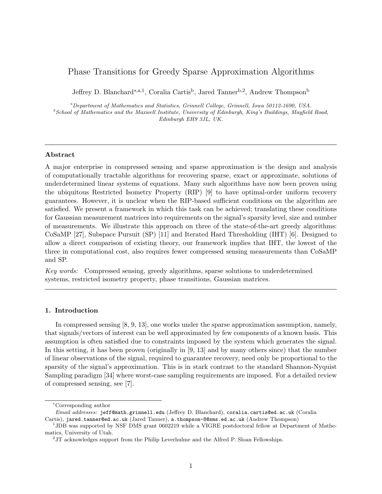# Phase Transitions for Greedy Sparse Approximation Algorithms

Jeffrey D. Blanchard<sup>∗,a,1</sup>, Coralia Cartis<sup>b</sup>, Jared Tanner<sup>b,2</sup>, Andrew Thompson<sup>b</sup>

<sup>a</sup>Department of Mathematics and Statistics, Grinnell College, Grinnell, Iowa 50112-1690, USA.  $^{b}$  School of Mathematics and the Maxwell Institute, University of Edinburgh, King's Buildings, Mayfield Road, Edinburgh EH9 3JL, UK.

## Abstract

A major enterprise in compressed sensing and sparse approximation is the design and analysis of computationally tractable algorithms for recovering sparse, exact or approximate, solutions of underdetermined linear systems of equations. Many such algorithms have now been proven using the ubiquitous Restricted Isometry Property (RIP) [9] to have optimal-order uniform recovery guarantees. However, it is unclear when the RIP-based sufficient conditions on the algorithm are satisfied. We present a framework in which this task can be achieved; translating these conditions for Gaussian measurement matrices into requirements on the signal's sparsity level, size and number of measurements. We illustrate this approach on three of the state-of-the-art greedy algorithms: CoSaMP [27], Subspace Pursuit (SP) [11] and Iterated Hard Thresholding (IHT) [6]. Designed to allow a direct comparison of existing theory, our framework implies that IHT, the lowest of the three in computational cost, also requires fewer compressed sensing measurements than CoSaMP and SP.

Key words: Compressed sensing, greedy algorithms, sparse solutions to underdetermined systems, restricted isometry property, phase transitions, Gaussian matrices.

## 1. Introduction

In compressed sensing [8, 9, 13], one works under the sparse approximation assumption, namely, that signals/vectors of interest can be well approximated by few components of a known basis. This assumption is often satisfied due to constraints imposed by the system which generates the signal. In this setting, it has been proven (originally in [9, 13] and by many others since) that the number of linear observations of the signal, required to guarantee recovery, need only be proportional to the sparsity of the signal's approximation. This is in stark contrast to the standard Shannon-Nyquist Sampling paradigm [34] where worst-case sampling requirements are imposed. For a detailed review of compressed sensing, see [7].

<sup>∗</sup>Corresponding author

Email addresses: jeff@math.grinnell.edu (Jeffrey D. Blanchard), coralia.cartis@ed.ac.uk (Coralia Cartis), jared.tanner@ed.ac.uk (Jared Tanner), a.thompson-8@sms.ed.ac.uk (Andrew Thompson)

<sup>&</sup>lt;sup>1</sup>JDB was supported by NSF DMS grant 0602219 while a VIGRE postdoctoral fellow at Department of Mathematics, University of Utah.

 $2$ JT acknowledges support from the Philip Leverhulme and the Alfred P. Sloan Fellowships.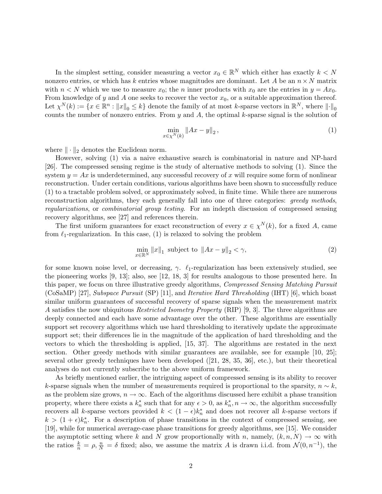In the simplest setting, consider measuring a vector  $x_0 \in \mathbb{R}^N$  which either has exactly  $k < N$ nonzero entries, or which has k entries whose magnitudes are dominant. Let A be an  $n \times N$  matrix with  $n < N$  which we use to measure  $x_0$ ; the n inner products with  $x_0$  are the entries in  $y = Ax_0$ . From knowledge of y and A one seeks to recover the vector  $x_0$ , or a suitable approximation thereof. Let  $\chi^N(k) := \{x \in \mathbb{R}^n : ||x||_0 \le k\}$  denote the family of at most k-sparse vectors in  $\mathbb{R}^N$ , where  $|| \cdot ||_0$ counts the number of nonzero entries. From  $y$  and  $A$ , the optimal k-sparse signal is the solution of

$$
\min_{x \in \chi^N(k)} \|Ax - y\|_2, \tag{1}
$$

where  $\|\cdot\|_2$  denotes the Euclidean norm.

However, solving (1) via a naive exhaustive search is combinatorial in nature and NP-hard [26]. The compressed sensing regime is the study of alternative methods to solving (1). Since the system  $y = Ax$  is underdetermined, any successful recovery of x will require some form of nonlinear reconstruction. Under certain conditions, various algorithms have been shown to successfully reduce (1) to a tractable problem solved, or approximately solved, in finite time. While there are numerous reconstruction algorithms, they each generally fall into one of three categories: greedy methods, regularizations, or combinatorial group testing. For an indepth discussion of compressed sensing recovery algorithms, see [27] and references therein.

The first uniform guarantees for exact reconstruction of every  $x \in \chi^N(k)$ , for a fixed A, came from  $\ell_1$ -regularization. In this case, (1) is relaxed to solving the problem

$$
\min_{x \in \mathbb{R}^N} \|x\|_1 \text{ subject to } \|Ax - y\|_2 < \gamma,\tag{2}
$$

for some known noise level, or decreasing,  $\gamma$ .  $\ell_1$ -regularization has been extensively studied, see the pioneering works [9, 13]; also, see [12, 18, 3] for results analogous to those presented here. In this paper, we focus on three illustrative greedy algorithms, Compressed Sensing Matching Pursuit (CoSaMP) [27], Subspace Pursuit (SP) [11], and Iterative Hard Thresholding (IHT) [6], which boast similar uniform guarantees of successful recovery of sparse signals when the measurement matrix A satisfies the now ubiquitous Restricted Isometry Property (RIP) [9, 3]. The three algorithms are deeply connected and each have some advantage over the other. These algorithms are essentially support set recovery algorithms which use hard thresholding to iteratively update the approximate support set; their differences lie in the magnitude of the application of hard thresholding and the vectors to which the thresholding is applied, [15, 37]. The algorithms are restated in the next section. Other greedy methods with similar guarantees are available, see for example [10, 25]; several other greedy techniques have been developed ([21, 28, 35, 36], etc.), but their theoretical analyses do not currently subscribe to the above uniform framework.

As briefly mentioned earlier, the intriguing aspect of compressed sensing is its ability to recover k-sparse signals when the number of measurements required is proportional to the sparsity,  $n \sim k$ , as the problem size grows,  $n \to \infty$ . Each of the algorithms discussed here exhibit a phase transition property, where there exists a  $k_n^*$  such that for any  $\epsilon > 0$ , as  $k_n^*, n \to \infty$ , the algorithm successfully recovers all k-sparse vectors provided  $k < (1 - \epsilon)k_n^*$  and does not recover all k-sparse vectors if  $k > (1 + \epsilon)k_n^*$ . For a description of phase transitions in the context of compressed sensing, see [19], while for numerical average-case phase transitions for greedy algorithms, see [15]. We consider the asymptotic setting where k and N grow proportionally with n, namely,  $(k, n, N) \rightarrow \infty$  with the ratios  $\frac{k}{n} = \rho, \frac{n}{N} = \delta$  fixed; also, we assume the matrix A is drawn i.i.d. from  $\mathcal{N}(0, n^{-1})$ , the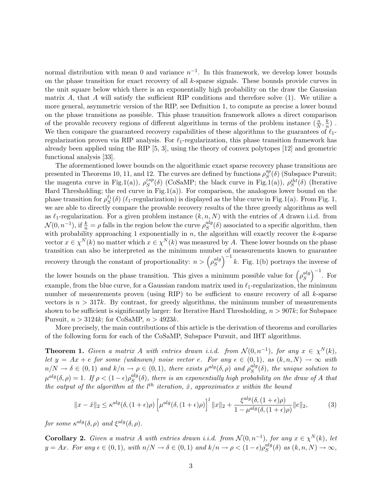normal distribution with mean 0 and variance  $n^{-1}$ . In this framework, we develop lower bounds on the phase transition for exact recovery of all  $k$ -sparse signals. These bounds provide curves in the unit square below which there is an exponentially high probability on the draw the Gaussian matrix A, that A will satisfy the sufficient RIP conditions and therefore solve  $(1)$ . We utilize a more general, asymmetric version of the RIP, see Definition 1, to compute as precise a lower bound on the phase transitions as possible. This phase transition framework allows a direct comparison of the provable recovery regions of different algorithms in terms of the problem instance  $(\frac{n}{N}, \frac{k}{n})$  $\frac{k}{n}$ ). We then compare the guaranteed recovery capabilities of these algorithms to the guarantees of  $\ell_1$ regularization proven via RIP analysis. For  $\ell_1$ -regularization, this phase transition framework has already been applied using the RIP [5, 3], using the theory of convex polytopes [12] and geometric functional analysis [33].

The aforementioned lower bounds on the algorithmic exact sparse recovery phase transitions are presented in Theorems 10, 11, and 12. The curves are defined by functions  $\rho_S^{sp}$  ${}_{S}^{sp}(\delta)$  (Subspace Pursuit; the magenta curve in Fig.1(a)),  $\rho_S^{csp}$  $S^{csp}(\delta)$  (CoSaMP; the black curve in Fig.1(a)),  $\rho_S^{iht}(\delta)$  (Iterative Hard Thresholding; the red curve in Fig.1(a)). For comparison, the analogous lower bound on the phase transition for  $\rho_S^{\ell_1}(\delta)$  ( $\ell_1$ -regularization) is displayed as the blue curve in Fig.1(a). From Fig. 1, we are able to directly compare the provable recovery results of the three greedy algorithms as well as  $\ell_1$ -regularization. For a given problem instance  $(k, n, N)$  with the entries of A drawn i.i.d. from  $\mathcal{N}(0, n^{-1}),$  if  $\frac{k}{n} = \rho$  falls in the region below the curve  $\rho_S^{alg}$  $S^{alg}(\delta)$  associated to a specific algorithm, then with probability approaching 1 exponentially in  $n$ , the algorithm will exactly recover the  $k$ -sparse vector  $x \in \chi^N(k)$  no matter which  $x \in \chi^N(k)$  was measured by A. These lower bounds on the phase transition can also be interpreted as the minimum number of measurements known to guarantee recovery through the constant of proportionality:  $n > \left(\rho_S^{alg}\right)$  ${s^{alg}\choose S}^{-1}$  k. Fig. 1(b) portrays the inverse of

the lower bounds on the phase transition. This gives a minimum possible value for  $\left(\rho_S^{alg}\right)$  ${s^{alg}\choose S}^{-1}$ . For example, from the blue curve, for a Gaussian random matrix used in  $\ell_1$ -regularization, the minimum number of measurements proven (using RIP) to be sufficient to ensure recovery of all  $k$ -sparse vectors is  $n > 317k$ . By contrast, for greedy algorithms, the minimum number of measurements shown to be sufficient is significantly larger: for Iterative Hard Thresholding,  $n > 907k$ ; for Subspace Pursuit,  $n > 3124k$ ; for CoSaMP,  $n > 4923k$ .

More precisely, the main contributions of this article is the derivation of theorems and corollaries of the following form for each of the CoSaMP, Subspace Pursuit, and IHT algorithms.

**Theorem 1.** Given a matrix A with entries drawn i.i.d. from  $\mathcal{N}(0, n^{-1})$ , for any  $x \in \chi^N(k)$ , let  $y = Ax + e$  for some (unknown) noise vector e. For any  $\epsilon \in (0,1)$ , as  $(k, n, N) \to \infty$  with  $n/N \to \delta \in (0,1)$  and  $k/n \to \rho \in (0,1)$ , there exists  $\mu^{alg}(\delta, \rho)$  and  $\rho^{alg}_{S}$  $S^{aug}(\delta)$ , the unique solution to  $\mu^{alg}(\delta, \rho) = 1.$  If  $\rho < (1 - \epsilon) \rho_S^{alg}$  $S^{alg}(\delta)$ , there is an exponentially high probability on the draw of A that the output of the algorithm at the  $l<sup>th</sup>$  iteration,  $\hat{x}$ , approximates x within the bound

$$
||x - \hat{x}||_2 \le \kappa^{alg}(\delta, (1 + \epsilon)\rho) \left[ \mu^{alg}(\delta, (1 + \epsilon)\rho) \right]^l ||x||_2 + \frac{\xi^{alg}(\delta, (1 + \epsilon)\rho)}{1 - \mu^{alg}(\delta, (1 + \epsilon)\rho)} ||e||_2,
$$
 (3)

for some  $\kappa^{alg}(\delta, \rho)$  and  $\xi^{alg}(\delta, \rho)$ .

**Corollary 2.** Given a matrix A with entries drawn i.i.d. from  $\mathcal{N}(0, n^{-1})$ , for any  $x \in \chi^N(k)$ , let  $y = Ax$ . For any  $\epsilon \in (0,1)$ , with  $n/N \to \delta \in (0,1)$  and  $k/n \to \rho < (1-\epsilon)\rho_S^{alg}$  $_{S}^{aug}(\delta)$  as  $(k, n, N) \rightarrow \infty$ ,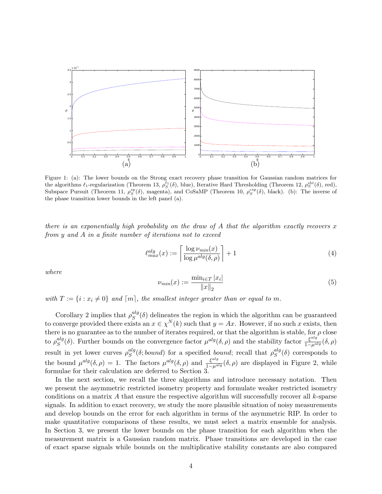

Figure 1: (a): The lower bounds on the Strong exact recovery phase transition for Gaussian random matrices for the algorithms  $\ell_1$ -regularization (Theorem 13,  $\rho_S^{\ell_1}(\delta)$ , blue), Iterative Hard Thresholding (Theorem 12,  $\rho_S^{iht}(\delta)$ , red), Subspace Pursuit (Theorem 11,  $\rho_S^{sp}(\delta)$ , magenta), and CoSaMP (Theorem 10,  $\rho_S^{csp}(\delta)$ , black). (b): The inverse of the phase transition lower bounds in the left panel (a).

there is an exponentially high probability on the draw of A that the algorithm exactly recovers  $x$ from y and A in a finite number of iterations not to exceed

$$
\ell_{max}^{alg}(x) := \left\lceil \frac{\log \nu_{min}(x)}{\log \mu^{alg}(\delta, \rho)} \right\rceil + 1 \tag{4}
$$

where

$$
\nu_{min}(x) := \frac{\min_{i \in T} |x_i|}{\|x\|_2} \tag{5}
$$

with  $T := \{i : x_i \neq 0\}$  and  $[m]$ , the smallest integer greater than or equal to m.

Corollary 2 implies that  $\rho_S^{alg}$  $s^{alg}(\delta)$  delineates the region in which the algorithm can be guaranteed to converge provided there exists an  $x \in \chi^N(k)$  such that  $y = Ax$ . However, if no such x exists, then there is no guarantee as to the number of iterates required, or that the algorithm is stable, for  $\rho$  close to  $\rho_S^{alg}$  $s^{alg}(\delta)$ . Further bounds on the convergence factor  $\mu^{alg}(\delta,\rho)$  and the stability factor  $\frac{\xi^{alg}}{1-\mu^{alg}}(\delta,\rho)$ result in yet lower curves  $\rho_S^{alg}$  ${}^{alg}_{S}(\delta; bound)$  for a specified bound; recall that  $\rho_S^{alg}$  $S^{aug}(\delta)$  corresponds to the bound  $\mu^{alg}(\delta, \rho) = 1$ . The factors  $\mu^{alg}(\delta, \rho)$  and  $\frac{\xi^{alg}}{1-\mu^{alg}}(\delta, \rho)$  are displayed in Figure 2, while formulae for their calculation are deferred to Section 3.

In the next section, we recall the three algorithms and introduce necessary notation. Then we present the asymmetric restricted isometry property and formulate weaker restricted isometry conditions on a matrix  $A$  that ensure the respective algorithm will successfully recover all  $k$ -sparse signals. In addition to exact recovery, we study the more plausible situation of noisy measurements and develop bounds on the error for each algorithm in terms of the asymmetric RIP. In order to make quantitative comparisons of these results, we must select a matrix ensemble for analysis. In Section 3, we present the lower bounds on the phase transition for each algorithm when the measurement matrix is a Gaussian random matrix. Phase transitions are developed in the case of exact sparse signals while bounds on the multiplicative stability constants are also compared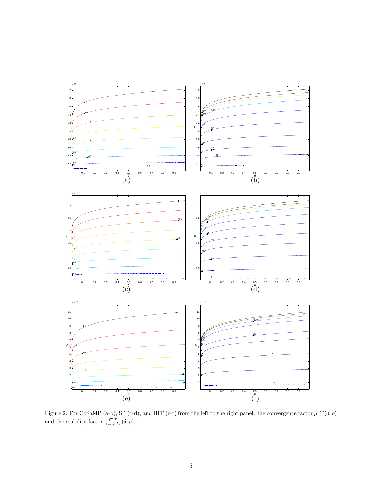

Figure 2: For CoSaMP (a-b), SP (c-d), and IHT (e-f) from the left to the right panel: the convergence factor  $\mu^{alg}(\delta,\rho)$ and the stability factor  $\frac{\xi^{alg}}{1-\mu^{alg}}(\delta,\rho).$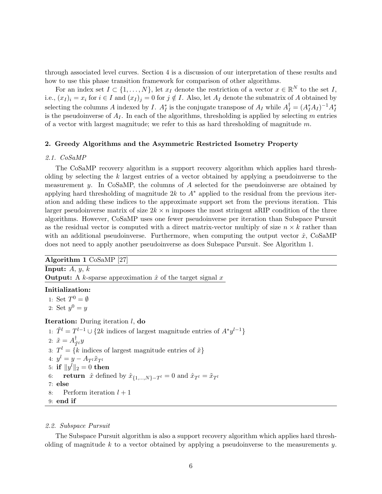through associated level curves. Section 4 is a discussion of our interpretation of these results and how to use this phase transition framework for comparison of other algorithms.

For an index set  $I \subset \{1, \ldots, N\}$ , let  $x_I$  denote the restriction of a vector  $x \in \mathbb{R}^N$  to the set I, i.e.,  $(x_I)_i = x_i$  for  $i \in I$  and  $(x_I)_j = 0$  for  $j \notin I$ . Also, let  $A_I$  denote the submatrix of A obtained by selecting the columns A indexed by I.  $A_I^*$  is the conjugate transpose of  $A_I$  while  $A_I^{\dagger} = (A_I^* A_I)^{-1} A_I^*$ is the pseudoinverse of  $A_I$ . In each of the algorithms, thresholding is applied by selecting m entries of a vector with largest magnitude; we refer to this as hard thresholding of magnitude  $m$ .

# 2. Greedy Algorithms and the Asymmetric Restricted Isometry Property

## 2.1. CoSaMP

The CoSaMP recovery algorithm is a support recovery algorithm which applies hard thresholding by selecting the  $k$  largest entries of a vector obtained by applying a pseudoinverse to the measurement y. In CoSaMP, the columns of  $A$  selected for the pseudoinverse are obtained by applying hard thresholding of magnitude 2k to  $A^*$  applied to the residual from the previous iteration and adding these indices to the approximate support set from the previous iteration. This larger pseudoinverse matrix of size  $2k \times n$  imposes the most stringent aRIP condition of the three algorithms. However, CoSaMP uses one fewer pseudoinverse per iteration than Subspace Pursuit as the residual vector is computed with a direct matrix-vector multiply of size  $n \times k$  rather than with an additional pseudoinverse. Furthermore, when computing the output vector  $\hat{x}$ , CoSaMP does not need to apply another pseudoinverse as does Subspace Pursuit. See Algorithm 1.

Algorithm 1 CoSaMP [27]

**Input:**  $A, y, k$ **Output:** A k-sparse approximation  $\hat{x}$  of the target signal x

# Initialization:

1: Set  $T^0 = \emptyset$ 

2: Set  $y^0 = y$ 

## **Iteration:** During iteration  $l$ , do

1:  $\tilde{T}^l = T^{l-1} \cup \{2k \text{ indices of largest magnitude entries of } A^*y^{l-1}\}\$ 2:  $\tilde{x} = A_{\tilde{a}}^{\dagger}$  $_{\tilde{T}^l}^{\intercal}y$ 3:  $T^l = \{k \text{ indices of largest magnitude entries of } \tilde{x}\}\$ 4:  $y^l = y - A_{T^l}\tilde{x}_{T^l}$ 5: if  $\|y^l\|_2 = 0$  then 6: **return**  $\hat{x}$  defined by  $\hat{x}_{\{1,...,N\}-T^l} = 0$  and  $\hat{x}_{T^l} = \tilde{x}_{T^l}$ 7: else 8: Perform iteration  $l + 1$ 9: end if

## 2.2. Subspace Pursuit

The Subspace Pursuit algorithm is also a support recovery algorithm which applies hard thresholding of magnitude k to a vector obtained by applying a pseudoinverse to the measurements  $y$ .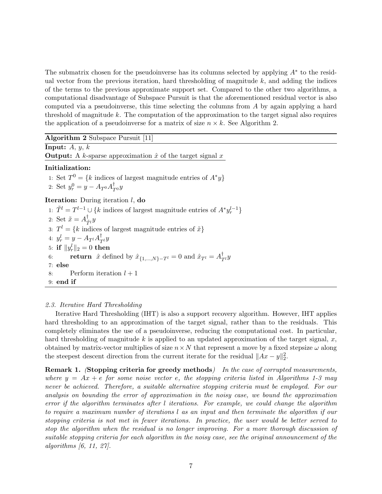The submatrix chosen for the pseudoinverse has its columns selected by applying  $A^*$  to the residual vector from the previous iteration, hard thresholding of magnitude  $k$ , and adding the indices of the terms to the previous approximate support set. Compared to the other two algorithms, a computational disadvantage of Subspace Pursuit is that the aforementioned residual vector is also computed via a pseudoinverse, this time selecting the columns from A by again applying a hard threshold of magnitude k. The computation of the approximation to the target signal also requires the application of a pseudoinverse for a matrix of size  $n \times k$ . See Algorithm 2.

Algorithm 2 Subspace Pursuit [11]

**Input:**  $A, y, k$ **Output:** A k-sparse approximation  $\hat{x}$  of the target signal x

# Initialization:

1: Set  $T^0 = \{k \text{ indices of largest magnitude entries of } A^*y\}$ 

2: Set  $y_r^0 = y - A_{T^0} A_{T^0}^{\dagger} y$ 

**Iteration:** During iteration  $l$ , **do** 

1:  $\tilde{T}^l = T^{l-1} \cup \{k \text{ indices of largest magnitude entries of } A^* y_r^{l-1}\}$ 2: Set  $\tilde{x} = A_{\tilde{a}}^{\dagger}$  $_{\tilde{T}^l}^{\intercal}y$ 3:  $T^l = \{k \text{ indices of largest magnitude entries of } \tilde{x}\}\$ 4:  $y_r^l = y - A_{T^l} A_{T^l}^{\dagger} y$ 5: if  $\|y_r^l\|_2 = 0$  then 6: **return**  $\hat{x}$  defined by  $\hat{x}_{\{1,\dots,N\}-T^l} = 0$  and  $\hat{x}_{T^l} = A_{T^l}^{\dagger} y$ 7: else 8: Perform iteration  $l + 1$ 9: end if

# 2.3. Iterative Hard Thresholding

Iterative Hard Thresholding (IHT) is also a support recovery algorithm. However, IHT applies hard thresholding to an approximation of the target signal, rather than to the residuals. This completely eliminates the use of a pseudoinverse, reducing the computational cost. In particular, hard thresholding of magnitude k is applied to an updated approximation of the target signal, x, obtained by matrix-vector multiplies of size  $n \times N$  that represent a move by a fixed stepsize  $\omega$  along the steepest descent direction from the current iterate for the residual  $||Ax - y||_2^2$ .

Remark 1. (Stopping criteria for greedy methods) In the case of corrupted measurements, where  $y = Ax + e$  for some noise vector e, the stopping criteria listed in Algorithms 1-3 may never be achieved. Therefore, a suitable alternative stopping criteria must be employed. For our analysis on bounding the error of approximation in the noisy case, we bound the approximation error if the algorithm terminates after l iterations. For example, we could change the algorithm to require a maximum number of iterations l as an input and then terminate the algorithm if our stopping criteria is not met in fewer iterations. In practice, the user would be better served to stop the algorithm when the residual is no longer improving. For a more thorough discussion of suitable stopping criteria for each algorithm in the noisy case, see the original announcement of the algorithms [6, 11, 27].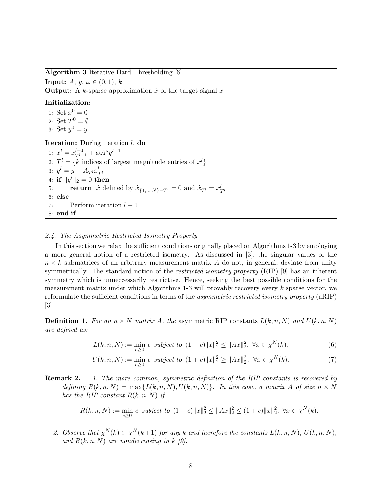Algorithm 3 Iterative Hard Thresholding [6]

**Input:**  $A, y, \omega \in (0, 1), k$ **Output:** A k-sparse approximation  $\hat{x}$  of the target signal x

## Initialization:

1: Set  $x^0 = 0$ 2: Set  $T^0 = \emptyset$ 3: Set  $y^0 = y$ 

# Iteration: During iteration *l*, do

1:  $x^l = x_{T^{l-1}}^{l-1} + wA^*y^{l-1}$ 2:  $T^l = \{k \text{ indices of largest magnitude entries of } x^l\}$ 3:  $y^l = y - A_{T^l} x_{T^l}^l$ 4: if  $\|y^l\|_2 = 0$  then 5: return  $\hat{x}$  defined by  $\hat{x}_{\{1,\dots,N\}-T^l} = 0$  and  $\hat{x}_{T^l} = x_{T^l}^l$ 6: else 7: Perform iteration  $l + 1$ 8: end if

## 2.4. The Asymmetric Restricted Isometry Property

In this section we relax the sufficient conditions originally placed on Algorithms 1-3 by employing a more general notion of a restricted isometry. As discussed in [3], the singular values of the  $n \times k$  submatrices of an arbitrary measurement matrix A do not, in general, deviate from unity symmetrically. The standard notion of the *restricted isometry property* (RIP) [9] has an inherent symmetry which is unneccessarily restrictive. Hence, seeking the best possible conditions for the measurement matrix under which Algorithms  $1-3$  will provably recovery every k sparse vector, we reformulate the sufficient conditions in terms of the asymmetric restricted isometry property (aRIP) [3].

**Definition 1.** For an  $n \times N$  matrix A, the asymmetric RIP constants  $L(k, n, N)$  and  $U(k, n, N)$ are defined as:

$$
L(k, n, N) := \min_{c \ge 0} c \ \ subject \ to \ \ (1 - c) \|x\|_2^2 \le \|Ax\|_2^2, \ \forall x \in \chi^N(k); \tag{6}
$$

$$
U(k, n, N) := \min_{c \ge 0} c \ \ subject \ to \ \ (1+c) \|x\|_2^2 \ge \|Ax\|_2^2, \ \forall x \in \chi^N(k). \tag{7}
$$

**Remark 2.** 1. The more common, symmetric definition of the RIP constants is recovered by defining  $R(k, n, N) = \max\{L(k, n, N), U(k, n, N)\}\$ . In this case, a matrix A of size  $n \times N$ has the RIP constant  $R(k, n, N)$  if

$$
R(k, n, N) := \min_{c \ge 0} c \ \ subject \ to \ \ (1 - c) \|x\|_2^2 \le \|Ax\|_2^2 \le (1 + c) \|x\|_2^2, \ \forall x \in \chi^N(k).
$$

2. Observe that  $\chi^N(k) \subset \chi^N(k+1)$  for any k and therefore the constants  $L(k,n,N)$ ,  $U(k,n,N)$ , and  $R(k, n, N)$  are nondecreasing in k [9].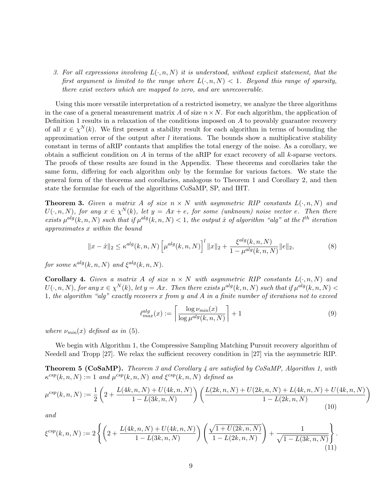3. For all expressions involving  $L(\cdot, n, N)$  it is understood, without explicit statement, that the first argument is limited to the range where  $L(\cdot, n, N) < 1$ . Beyond this range of sparsity, there exist vectors which are mapped to zero, and are unrecoverable.

Using this more versatile interpretation of a restricted isometry, we analyze the three algorithms in the case of a general measurement matrix A of size  $n \times N$ . For each algorithm, the application of Definition 1 results in a relaxation of the conditions imposed on  $A$  to provably guarantee recovery of all  $x \in \chi^N(k)$ . We first present a stability result for each algorithm in terms of bounding the approximation error of the output after  $l$  iterations. The bounds show a multiplicative stability constant in terms of aRIP contants that amplifies the total energy of the noise. As a corollary, we obtain a sufficient condition on A in terms of the aRIP for exact recovery of all  $k$ -sparse vectors. The proofs of these results are found in the Appendix. These theorems and corollaries take the same form, differing for each algorithm only by the formulae for various factors. We state the general form of the theorems and corollaries, analogous to Theorem 1 and Corollary 2, and then state the formulae for each of the algorithms CoSaMP, SP, and IHT.

**Theorem 3.** Given a matrix A of size  $n \times N$  with asymmetric RIP constants  $L(\cdot, n, N)$  and  $U(\cdot, n, N)$ , for any  $x \in \chi^N(k)$ , let  $y = Ax + e$ , for some (unknown) noise vector e. Then there exists  $\mu^{alg}(k, n, N)$  such that if  $\mu^{alg}(k, n, N) < 1$ , the output  $\hat{x}$  of algorithm "alg" at the l<sup>th</sup> iteration approximates x within the bound

$$
||x - \hat{x}||_2 \le \kappa^{alg}(k, n, N) \left[ \mu^{alg}(k, n, N) \right]^l ||x||_2 + \frac{\xi^{alg}(k, n, N)}{1 - \mu^{alg}(k, n, N)} ||e||_2,
$$
\n(8)

for some  $\kappa^{alg}(k, n, N)$  and  $\xi^{alg}(k, n, N)$ .

**Corollary 4.** Given a matrix A of size  $n \times N$  with asymmetric RIP constants  $L(\cdot, n, N)$  and  $U(\cdot,n,N)$ , for any  $x \in \chi^N(k)$ , let  $y = Ax$ . Then there exists  $\mu^{alg}(k,n,N)$  such that if  $\mu^{alg}(k,n,N)$ 1, the algorithm "alg" exactly recovers  $x$  from  $y$  and  $A$  in a finite number of iterations not to exceed

$$
\ell_{max}^{alg}(x) := \left\lceil \frac{\log \nu_{min}(x)}{\log \mu^{alg}(k, n, N)} \right\rceil + 1 \tag{9}
$$

where  $\nu_{min}(x)$  defined as in (5).

We begin with Algorithm 1, the Compressive Sampling Matching Pursuit recovery algorithm of Needell and Tropp [27]. We relax the sufficient recovery condition in [27] via the asymmetric RIP.

**Theorem 5 (CoSaMP).** Theorem 3 and Corollary 4 are satisfied by CoSaMP, Algorithm 1, with  $\kappa^{csp}(k,n,N) := 1$  and  $\mu^{csp}(k,n,N)$  and  $\xi^{csp}(k,n,N)$  defined as

$$
\mu^{csp}(k,n,N) := \frac{1}{2} \left( 2 + \frac{L(4k,n,N) + U(4k,n,N)}{1 - L(3k,n,N)} \right) \left( \frac{L(2k,n,N) + U(2k,n,N) + L(4k,n,N) + U(4k,n,N)}{1 - L(2k,n,N)} \right)
$$
\n(10)

and

$$
\xi^{csp}(k,n,N) := 2\left\{ \left(2 + \frac{L(4k,n,N) + U(4k,n,N)}{1 - L(3k,n,N)}\right) \left(\frac{\sqrt{1 + U(2k,n,N)}}{1 - L(2k,n,N)}\right) + \frac{1}{\sqrt{1 - L(3k,n,N)}}\right\}.
$$
\n(11)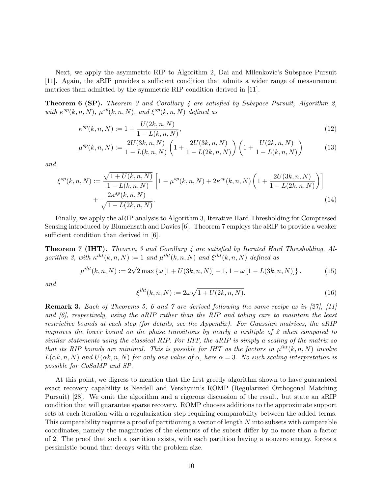Next, we apply the asymmetric RIP to Algorithm 2, Dai and Milenkovic's Subspace Pursuit [11]. Again, the aRIP provides a sufficient condition that admits a wider range of measurement matrices than admitted by the symmetric RIP condition derived in [11].

**Theorem 6 (SP).** Theorem 3 and Corollary 4 are satisfied by Subspace Pursuit, Algorithm 2, with  $\kappa^{sp}(k, n, N)$ ,  $\mu^{sp}(k, n, N)$ , and  $\xi^{sp}(k, n, N)$  defined as

$$
\kappa^{sp}(k,n,N) := 1 + \frac{U(2k,n,N)}{1 - L(k,n,N)},\tag{12}
$$

$$
\mu^{sp}(k,n,N) := \frac{2U(3k,n,N)}{1 - L(k,n,N)} \left(1 + \frac{2U(3k,n,N)}{1 - L(2k,n,N)}\right) \left(1 + \frac{U(2k,n,N)}{1 - L(k,n,N)}\right)
$$
(13)

and

$$
\xi^{sp}(k,n,N) := \frac{\sqrt{1+U(k,n,N)}}{1-L(k,n,N)} \left[ 1 - \mu^{sp}(k,n,N) + 2\kappa^{sp}(k,n,N) \left( 1 + \frac{2U(3k,n,N)}{1-L(2k,n,N)} \right) \right] + \frac{2\kappa^{sp}(k,n,N)}{\sqrt{1-L(2k,n,N)}}.
$$
\n(14)

Finally, we apply the aRIP analysis to Algorithm 3, Iterative Hard Thresholding for Compressed Sensing introduced by Blumensath and Davies [6]. Theorem 7 employs the aRIP to provide a weaker sufficient condition than derived in  $|6|$ .

Theorem 7 (IHT). Theorem 3 and Corollary 4 are satisfied by Iterated Hard Thresholding, Algorithm 3, with  $\kappa^{iht}(k,n,N) := 1$  and  $\mu^{iht}(k,n,N)$  and  $\xi^{iht}(k,n,N)$  defined as

$$
\mu^{iht}(k,n,N) := 2\sqrt{2} \max \left\{ \omega \left[ 1 + U(3k,n,N) \right] - 1, 1 - \omega \left[ 1 - L(3k,n,N) \right] \right\}.
$$
 (15)

and

$$
\xi^{iht}(k,n,N) := 2\omega\sqrt{1 + U(2k,n,N)}.
$$
\n(16)

Remark 3. Each of Theorems 5, 6 and 7 are derived following the same recipe as in [27], [11] and  $[6]$ , respectively, using the aRIP rather than the RIP and taking care to maintain the least restrictive bounds at each step (for details, see the Appendix). For Gaussian matrices, the aRIP improves the lower bound on the phase transitions by nearly a multiple of 2 when compared to similar statements using the classical RIP. For IHT, the aRIP is simply a scaling of the matrix so that its RIP bounds are minimal. This is possible for IHT as the factors in  $\mu^{iht}(k,n,N)$  involve  $L(\alpha k, n, N)$  and  $U(\alpha k, n, N)$  for only one value of  $\alpha$ , here  $\alpha = 3$ . No such scaling interpretation is possible for CoSaMP and SP.

At this point, we digress to mention that the first greedy algorithm shown to have guaranteed exact recovery capability is Needell and Vershynin's ROMP (Regularized Orthogonal Matching Pursuit) [28]. We omit the algorithm and a rigorous discussion of the result, but state an aRIP condition that will guarantee sparse recovery. ROMP chooses additions to the approximate support sets at each iteration with a regularization step requiring comparability between the added terms. This comparability requires a proof of partitioning a vector of length N into subsets with comparable coordinates, namely the magnitudes of the elements of the subset differ by no more than a factor of 2. The proof that such a partition exists, with each partition having a nonzero energy, forces a pessimistic bound that decays with the problem size.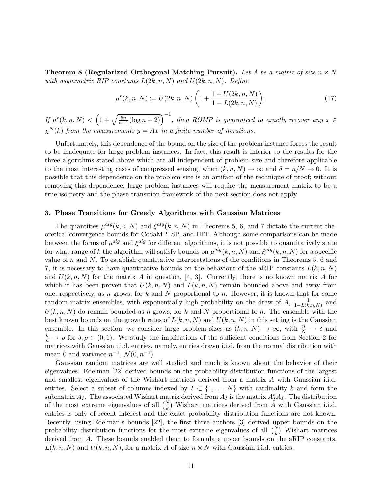Theorem 8 (Regularized Orthogonal Matching Pursuit). Let A be a matrix of size  $n \times N$ with asymmetric RIP constants  $L(2k, n, N)$  and  $U(2k, n, N)$ . Define

$$
\mu^{r}(k,n,N) := U(2k,n,N) \left( 1 + \frac{1 + U(2k,n,N)}{1 - L(2k,n,N)} \right). \tag{17}
$$

If  $\mu^{r}(k,n,N) < \left(1+\sqrt{\frac{5n}{n-1}(\log n+2)}\right)^{-1}$ , then ROMP is guaranteed to exactly recover any  $x \in$  $\chi^N(k)$  from the measurements  $y = Ax$  in a finite number of iterations.

Unfortunately, this dependence of the bound on the size of the problem instance forces the result to be inadequate for large problem instances. In fact, this result is inferior to the results for the three algorithms stated above which are all independent of problem size and therefore applicable to the most interesting cases of compressed sensing, when  $(k, n, N) \to \infty$  and  $\delta = n/N \to 0$ . It is possible that this dependence on the problem size is an artifact of the technique of proof; without removing this dependence, large problem instances will require the measurement matrix to be a true isometry and the phase transition framework of the next section does not apply.

## 3. Phase Transitions for Greedy Algorithms with Gaussian Matrices

The quantities  $\mu^{alg}(k, n, N)$  and  $\xi^{alg}(k, n, N)$  in Theorems 5, 6, and 7 dictate the current theoretical convergence bounds for CoSaMP, SP, and IHT. Although some comparisons can be made between the forms of  $\mu^{alg}$  and  $\xi^{alg}$  for different algorithms, it is not possible to quantitatively state for what range of k the algorithm will satisfy bounds on  $\mu^{alg}(k, n, N)$  and  $\xi^{alg}(k, n, N)$  for a specific value of n and N. To establish quantitative interpretations of the conditions in Theorems 5, 6 and 7, it is necessary to have quantitative bounds on the behaviour of the aRIP constants  $L(k, n, N)$ and  $U(k, n, N)$  for the matrix A in question, [4, 3]. Currently, there is no known matrix A for which it has been proven that  $U(k, n, N)$  and  $L(k, n, N)$  remain bounded above and away from one, respectively, as n grows, for k and N proportional to n. However, it is known that for some random matrix ensembles, with exponentially high probability on the draw of  $A$ ,  $\frac{1}{1-\ell k}$  $\frac{1}{1-L(k,n,N)}$  and  $U(k, n, N)$  do remain bounded as n grows, for k and N proportional to n. The ensemble with the best known bounds on the growth rates of  $L(k, n, N)$  and  $U(k, n, N)$  in this setting is the Gaussian ensemble. In this section, we consider large problem sizes as  $(k, n, N) \to \infty$ , with  $\frac{n}{N} \to \delta$  and  $\frac{k}{n} \to \rho$  for  $\delta, \rho \in (0, 1)$ . We study the implications of the sufficient conditions from Section 2 for matrices with Gaussian i.i.d. entries, namely, entries drawn i.i.d. from the normal distribution with mean 0 and variance  $n^{-1}$ ,  $\mathcal{N}(0, n^{-1})$ .

Gaussian random matrices are well studied and much is known about the behavior of their eigenvalues. Edelman [22] derived bounds on the probability distribution functions of the largest and smallest eigenvalues of the Wishart matrices derived from a matrix A with Gaussian i.i.d. entries. Select a subset of columns indexed by  $I \subset \{1, ..., N\}$  with cardinality k and form the submatrix  $A_I$ . The associated Wishart matrix derived from  $A_I$  is the matrix  $A_I^*A_I$ . The distribution of the most extreme eigenvalues of all  $\binom{N}{k}$  Wishart matrices derived from  $\hat{A}$  with Gaussian i.i.d. entries is only of recent interest and the exact probability distribution functions are not known. Recently, using Edelman's bounds [22], the first three authors [3] derived upper bounds on the probability distribution functions for the most extreme eigenvalues of all  $\binom{N}{k}$  Wishart matrices derived from A. These bounds enabled them to formulate upper bounds on the aRIP constants,  $L(k, n, N)$  and  $U(k, n, N)$ , for a matrix A of size  $n \times N$  with Gaussian i.i.d. entries.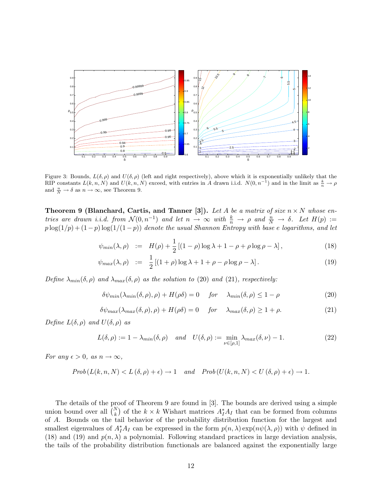

Figure 3: Bounds,  $L(\delta, \rho)$  and  $U(\delta, \rho)$  (left and right respectively), above which it is exponentially unlikely that the RIP constants  $L(k, n, N)$  and  $U(k, n, N)$  exceed, with entries in A drawn i.i.d.  $N(0, n^{-1})$  and in the limit as  $\frac{k}{n} \to \rho$ and  $\frac{n}{N} \to \delta$  as  $n \to \infty$ , see Theorem 9.

**Theorem 9 (Blanchard, Cartis, and Tanner [3]).** Let A be a matrix of size  $n \times N$  whose entries are drawn i.i.d. from  $\mathcal{N}(0, n^{-1})$  and let  $n \to \infty$  with  $\frac{k}{n} \to \rho$  and  $\frac{n}{N} \to \delta$ . Let  $H(p) :=$  $p \log(1/p) + (1-p) \log(1/(1-p))$  denote the usual Shannon Entropy with base e logarithms, and let

$$
\psi_{min}(\lambda,\rho) := H(\rho) + \frac{1}{2} \left[ (1-\rho)\log\lambda + 1 - \rho + \rho\log\rho - \lambda \right],\tag{18}
$$

$$
\psi_{max}(\lambda,\rho) := \frac{1}{2} \left[ (1+\rho)\log\lambda + 1 + \rho - \rho\log\rho - \lambda \right]. \tag{19}
$$

Define  $\lambda_{min}(\delta, \rho)$  and  $\lambda_{max}(\delta, \rho)$  as the solution to (20) and (21), respectively:

$$
\delta\psi_{min}(\lambda_{min}(\delta,\rho),\rho) + H(\rho\delta) = 0 \quad \text{for} \quad \lambda_{min}(\delta,\rho) \le 1 - \rho \tag{20}
$$

$$
\delta\psi_{max}(\lambda_{max}(\delta,\rho),\rho) + H(\rho\delta) = 0 \quad \text{for} \quad \lambda_{max}(\delta,\rho) \ge 1 + \rho. \tag{21}
$$

Define  $L(\delta, \rho)$  and  $U(\delta, \rho)$  as

$$
L(\delta, \rho) := 1 - \lambda_{min}(\delta, \rho) \quad \text{and} \quad U(\delta, \rho) := \min_{\nu \in [\rho, 1]} \lambda_{max}(\delta, \nu) - 1. \tag{22}
$$

For any  $\epsilon > 0$ , as  $n \to \infty$ ,

$$
Prob(L(k, n, N) < L(\delta, \rho) + \epsilon) \to 1 \quad and \quad Prob(U(k, n, N) < U(\delta, \rho) + \epsilon) \to 1.
$$

The details of the proof of Theorem 9 are found in [3]. The bounds are derived using a simple union bound over all  $\binom{N}{k}$  of the  $k \times k$  Wishart matrices  $A_I^* A_I$  that can be formed from columns of A. Bounds on the tail behavior of the probability distribution function for the largest and smallest eigenvalues of  $A_I^*A_I$  can be expressed in the form  $p(n,\lambda) \exp(n\psi(\lambda,\rho))$  with  $\psi$  defined in (18) and (19) and  $p(n, \lambda)$  a polynomial. Following standard practices in large deviation analysis, the tails of the probability distribution functionals are balanced against the exponentially large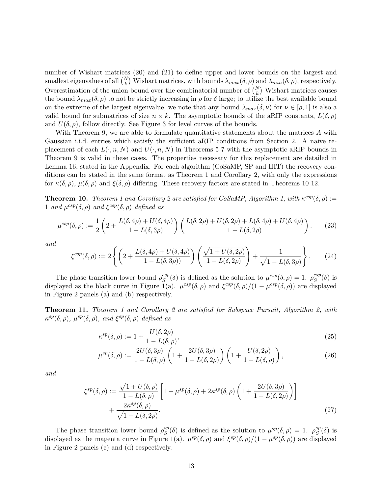number of Wishart matrices (20) and (21) to define upper and lower bounds on the largest and smallest eigenvalues of all  $\binom{N}{k}$  Wishart matrices, with bounds  $\lambda_{max}(\delta, \rho)$  and  $\lambda_{min}(\delta, \rho)$ , respectively. Overestimation of the union bound over the combinatorial number of  $\binom{N}{k}$  Wishart matrices causes the bound  $\lambda_{max}(\delta, \rho)$  to not be strictly increasing in  $\rho$  for  $\delta$  large; to utilize the best available bound on the extreme of the largest eigenvalue, we note that any bound  $\lambda_{max}(\delta, \nu)$  for  $\nu \in [\rho, 1]$  is also a valid bound for submatrices of size  $n \times k$ . The asymptotic bounds of the aRIP constants,  $L(\delta, \rho)$ and  $U(\delta, \rho)$ , follow directly. See Figure 3 for level curves of the bounds.

With Theorem 9, we are able to formulate quantitative statements about the matrices A with Gaussian i.i.d. entries which satisfy the sufficient aRIP conditions from Section 2. A naive replacement of each  $L(\cdot, n, N)$  and  $U(\cdot, n, N)$  in Theorems 5-7 with the asymptotic aRIP bounds in Theorem 9 is valid in these cases. The properties necessary for this replacement are detailed in Lemma 16, stated in the Appendix. For each algorithm (CoSaMP, SP and IHT) the recovery conditions can be stated in the same format as Theorem 1 and Corollary 2, with only the expressions for  $\kappa(\delta,\rho)$ ,  $\mu(\delta,\rho)$  and  $\xi(\delta,\rho)$  differing. These recovery factors are stated in Theorems 10-12.

**Theorem 10.** Theorem 1 and Corollary 2 are satisfied for CoSaMP, Algorithm 1, with  $\kappa^{csp}(\delta,\rho)$  := 1 and  $\mu^{csp}(\delta, \rho)$  and  $\xi^{csp}(\delta, \rho)$  defined as

$$
\mu^{csp}(\delta,\rho) := \frac{1}{2} \left( 2 + \frac{L(\delta, 4\rho) + U(\delta, 4\rho)}{1 - L(\delta, 3\rho)} \right) \left( \frac{L(\delta, 2\rho) + U(\delta, 2\rho) + L(\delta, 4\rho) + U(\delta, 4\rho)}{1 - L(\delta, 2\rho)} \right). \tag{23}
$$

and

$$
\xi^{csp}(\delta,\rho) := 2\left\{ \left(2 + \frac{L(\delta, 4\rho) + U(\delta, 4\rho)}{1 - L(\delta, 3\rho)}\right) \left(\frac{\sqrt{1 + U(\delta, 2\rho)}}{1 - L(\delta, 2\rho)}\right) + \frac{1}{\sqrt{1 - L(\delta, 3\rho)}}\right\}.
$$
 (24)

The phase transition lower bound  $\rho_S^{csp}$  $S^{csp}(\delta)$  is defined as the solution to  $\mu^{csp}(\delta, \rho) = 1$ .  $\rho_S^{csp}$  ${}_{S}^{csp}(\delta)$  is displayed as the black curve in Figure 1(a).  $\mu^{csp}(\delta, \rho)$  and  $\xi^{csp}(\delta, \rho)/(1 - \mu^{csp}(\delta, \rho))$  are displayed in Figure 2 panels (a) and (b) respectively.

Theorem 11. Theorem 1 and Corollary 2 are satisfied for Subspace Pursuit, Algorithm 2, with  $\kappa^{sp}(\delta, \rho)$ ,  $\mu^{sp}(\delta, \rho)$ , and  $\xi^{sp}(\delta, \rho)$  defined as

$$
\kappa^{sp}(\delta,\rho) := 1 + \frac{U(\delta,2\rho)}{1 - L(\delta,\rho)},\tag{25}
$$

$$
\mu^{sp}(\delta,\rho) := \frac{2U(\delta,3\rho)}{1 - L(\delta,\rho)} \left(1 + \frac{2U(\delta,3\rho)}{1 - L(\delta,2\rho)}\right) \left(1 + \frac{U(\delta,2\rho)}{1 - L(\delta,\rho)}\right),\tag{26}
$$

and

$$
\xi^{sp}(\delta,\rho) := \frac{\sqrt{1+U(\delta,\rho)}}{1-L(\delta,\rho)} \left[ 1 - \mu^{sp}(\delta,\rho) + 2\kappa^{sp}(\delta,\rho) \left( 1 + \frac{2U(\delta,3\rho)}{1-L(\delta,2\rho)} \right) \right] + \frac{2\kappa^{sp}(\delta,\rho)}{\sqrt{1-L(\delta,2\rho)}}.
$$
\n(27)

The phase transition lower bound  $\rho_S^{sp}$  $S^p(S)$  is defined as the solution to  $\mu^{sp}(\delta,\rho) = 1$ .  $\rho_S^{sp}$  $^{sp}_{S}(\delta)$  is displayed as the magenta curve in Figure 1(a).  $\mu^{sp}(\delta, \rho)$  and  $\xi^{sp}(\delta, \rho)/(1-\mu^{sp}(\delta, \rho))$  are displayed in Figure 2 panels (c) and (d) respectively.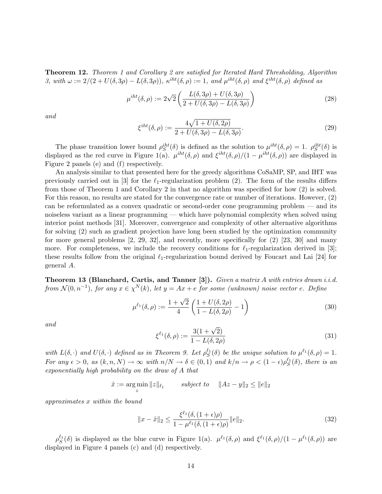Theorem 12. Theorem 1 and Corollary 2 are satisfied for Iterated Hard Thresholding, Algorithm 3, with  $\omega := 2/(2 + U(\delta, 3\rho) - L(\delta, 3\rho))$ ,  $\kappa^{iht}(\delta, \rho) := 1$ , and  $\mu^{iht}(\delta, \rho)$  and  $\xi^{iht}(\delta, \rho)$  defined as

$$
\mu^{iht}(\delta,\rho) := 2\sqrt{2} \left( \frac{L(\delta,3\rho) + U(\delta,3\rho)}{2 + U(\delta,3\rho) - L(\delta,3\rho)} \right) \tag{28}
$$

and

$$
\xi^{iht}(\delta,\rho) := \frac{4\sqrt{1+U(\delta,2\rho)}}{2+U(\delta,3\rho)-L(\delta,3\rho)}.\tag{29}
$$

The phase transition lower bound  $\rho_S^{iht}(\delta)$  is defined as the solution to  $\mu^{iht}(\delta,\rho) = 1$ .  $\rho_S^{iht}(\delta)$  is displayed as the red curve in Figure 1(a).  $\mu^{iht}(\delta,\rho)$  and  $\xi^{iht}(\delta,\rho)/(1-\mu^{iht}(\delta,\rho))$  are displayed in Figure 2 panels (e) and (f) respectively.

An analysis similar to that presented here for the greedy algorithms CoSaMP, SP, and IHT was previously carried out in [3] for the  $\ell_1$ -regularization problem (2). The form of the results differs from those of Theorem 1 and Corollary 2 in that no algorithm was specified for how (2) is solved. For this reason, no results are stated for the convergence rate or number of iterations. However, (2) can be reformulated as a convex quadratic or second-order cone programming problem — and its noiseless variant as a linear programming — which have polynomial complexity when solved using interior point methods [31]. Moreover, convergence and complexity of other alternative algorithms for solving (2) such as gradient projection have long been studied by the optimization community for more general problems  $\lbrack 2, 29, 32 \rbrack$ , and recently, more specifically for  $\lbrack 2 \rbrack 23, 30 \rbrack$  and many more. For completeness, we include the recovery conditions for  $\ell_1$ -regularization derived in [3]; these results follow from the original  $\ell_1$ -regularization bound derived by Foucart and Lai [24] for general A.

**Theorem 13 (Blanchard, Cartis, and Tanner [3]).** Given a matrix A with entries drawn i.i.d. from  $\mathcal{N}(0,n^{-1})$ , for any  $x \in \chi^N(k)$ , let  $y = Ax + e$  for some (unknown) noise vector e. Define

$$
\mu^{\ell_1}(\delta,\rho) := \frac{1+\sqrt{2}}{4} \left( \frac{1+U(\delta,2\rho)}{1-L(\delta,2\rho)} - 1 \right)
$$
\n(30)

and

$$
\xi^{\ell_1}(\delta,\rho) := \frac{3(1+\sqrt{2})}{1 - L(\delta, 2\rho)}
$$
\n(31)

with  $L(\delta, \cdot)$  and  $U(\delta, \cdot)$  defined as in Theorem 9. Let  $\rho_S^{\ell_1}(\delta)$  be the unique solution to  $\mu^{\ell_1}(\delta, \rho) = 1$ . For any  $\epsilon > 0$ , as  $(k, n, N) \to \infty$  with  $n/N \to \delta \in (0, 1)$  and  $k/n \to \rho < (1 - \epsilon) \rho_S^{\ell_1}(\delta)$ , there is an exponentially high probability on the draw of A that

$$
\hat{x} := \operatorname*{arg\,min}_{z} \|z\|_{\ell_1} \qquad \text{subject to} \quad \|Az - y\|_2 \le \|e\|_2
$$

approximates x within the bound

$$
||x - \hat{x}||_2 \le \frac{\xi^{\ell_1}(\delta, (1 + \epsilon)\rho)}{1 - \mu^{\ell_1}(\delta, (1 + \epsilon)\rho)} ||e||_2.
$$
 (32)

 $\rho_S^{\ell_1}(\delta)$  is displayed as the blue curve in Figure 1(a).  $\mu^{\ell_1}(\delta,\rho)$  and  $\xi^{\ell_1}(\delta,\rho)/(1-\mu^{\ell_1}(\delta,\rho))$  are displayed in Figure 4 panels (c) and (d) respectively.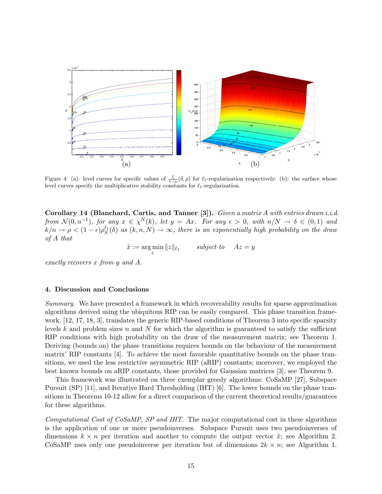

Figure 4: (a): level curves for specific values of  $\frac{\xi}{1-\mu}(\delta,\rho)$  for  $\ell_1$ -regularization respectively. (b): the surface whose level curves specify the multiplicative stability constants for  $\ell_1$ -regularization.

Corollary 14 (Blanchard, Cartis, and Tanner [3]). Given a matrix A with entries drawn i.i.d. from  $\mathcal{N}(0,n^{-1})$ , for any  $x \in \chi^N(k)$ , let  $y = Ax$ . For any  $\epsilon > 0$ , with  $n/N \to \delta \in (0,1)$  and  $k/n \to \rho < (1-\epsilon)\rho_S^{\ell_1}(\delta)$  as  $(k,n,N) \to \infty$ , there is an exponentially high probability on the draw of A that

> $\hat{x} := \arg \min$  $\min_{z} ||z||_{\ell_1}$  subject to  $Az = y$

exactly recovers x from y and A.

#### 4. Discussion and Conclusions

Summary. We have presented a framework in which recoverability results for sparse approximation algorithms derived using the ubiquitous RIP can be easily compared. This phase transition framework, [12, 17, 18, 3], translates the generic RIP-based conditions of Theorem 3 into specific sparsity levels k and problem sizes n and N for which the algorithm is guaranteed to satisfy the sufficient RIP conditions with high probability on the draw of the measurement matrix; see Theorem 1. Deriving (bounds on) the phase transitions requires bounds on the behaviour of the measurement matrix' RIP constants [4]. To achieve the most favorable quantitative bounds on the phase transitions, we used the less restrictive asymmetric RIP (aRIP) constants; moreover, we employed the best known bounds on aRIP constants, those provided for Gaussian matrices [3], see Theorem 9.

This framework was illustrated on three exemplar greedy algorithms: CoSaMP [27], Subspace Pursuit (SP) [11], and Iterative Hard Thresholding (IHT) [6]. The lower bounds on the phase transitions in Theorems 10-12 allow for a direct comparison of the current theoretical results/guarantees for these algorithms.

Computational Cost of CoSaMP, SP and IHT. The major computational cost in these algorithms is the application of one or more pseudoinverses. Subspace Pursuit uses two pseudoinverses of dimensions  $k \times n$  per iteration and another to compute the output vector  $\hat{x}$ ; see Algorithm 2. CoSaMP uses only one pseudoinverse per iteration but of dimensions  $2k \times n$ ; see Algorithm 1.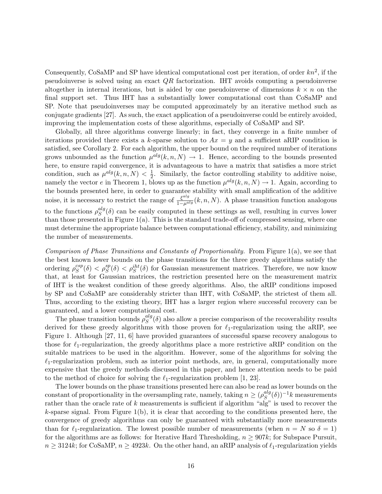Consequently, CoSaMP and SP have identical computational cost per iteration, of order  $kn^2$ , if the pseudoinverse is solved using an exact QR factorization. IHT avoids computing a pseudoinverse altogether in internal iterations, but is aided by one pseudoinverse of dimensions  $k \times n$  on the final support set. Thus IHT has a substantially lower computational cost than CoSaMP and SP. Note that pseudoinverses may be computed approximately by an iterative method such as conjugate gradients [27]. As such, the exact application of a pseudoinverse could be entirely avoided, improving the implementation costs of these algorithms, especially of CoSaMP and SP.

Globally, all three algorithms converge linearly; in fact, they converge in a finite number of iterations provided there exists a k-sparse solution to  $Ax = y$  and a sufficient aRIP condition is satisfied, see Corollary 2. For each algorithm, the upper bound on the required number of iterations grows unbounded as the function  $\mu^{alg}(k, n, N) \to 1$ . Hence, according to the bounds presented here, to ensure rapid convergence, it is advantageous to have a matrix that satisfies a more strict condition, such as  $\mu^{alg}(k, n, N) < \frac{1}{2}$  $\frac{1}{2}$ . Similarly, the factor controlling stability to additive noise, namely the vector e in Theorem 1, blows up as the function  $\mu^{alg}(k, n, N) \to 1$ . Again, according to the bounds presented here, in order to guarantee stability with small amplification of the additive noise, it is necessary to restrict the range of  $\frac{\xi^{alg}}{1-\mu^{alg}}(k,n,N)$ . A phase transition function analogous to the functions  $\rho_S^{alg}$  $S^{alg}(\delta)$  can be easily computed in these settings as well, resulting in curves lower than those presented in Figure  $1(a)$ . This is the standard trade-off of compressed sensing, where one must determine the appropriate balance between computational efficiency, stability, and minimizing the number of measurements.

Comparison of Phase Transitions and Constants of Proportionality. From Figure 1(a), we see that the best known lower bounds on the phase transitions for the three greedy algorithms satisfy the ordering  $\rho_S^{csp}$  $S^{csp}(\delta) < \rho_S^{sp}(\delta) < \rho_S^{iht}(\delta)$  for Gaussian measurement matrices. Therefore, we now know that, at least for Gaussian matrices, the restriction presented here on the measurement matrix of IHT is the weakest condition of these greedy algorithms. Also, the aRIP conditions imposed by SP and CoSaMP are considerably stricter than IHT, with CoSaMP, the strictest of them all. Thus, according to the existing theory, IHT has a larger region where successful recovery can be guaranteed, and a lower computational cost.

The phase transition bounds  $\rho_S^{alg}$  $S^{alg}(\delta)$  also allow a precise comparison of the recoverability results derived for these greedy algorithms with those proven for  $\ell_1$ -regularization using the aRIP, see Figure 1. Although [27, 11, 6] have provided guarantees of successful sparse recovery analogous to those for  $\ell_1$ -regularization, the greedy algorithms place a more restrictive aRIP condition on the suitable matrices to be used in the algorithm. However, some of the algorithms for solving the  $\ell_1$ -regularization problem, such as interior point methods, are, in general, computationally more expensive that the greedy methods discussed in this paper, and hence attention needs to be paid to the method of choice for solving the  $\ell_1$ -regularization problem [1, 23].

The lower bounds on the phase transitions presented here can also be read as lower bounds on the constant of proportionality in the oversampling rate, namely, taking  $n \geq (\rho_S^{alg})$  ${}_{S}^{alg}(\delta))^{-1}k$  measurements rather than the oracle rate of  $k$  measurements is sufficient if algorithm "alg" is used to recover the  $k$ -sparse signal. From Figure 1(b), it is clear that according to the conditions presented here, the convergence of greedy algorithms can only be guaranteed with substantially more measurements than for  $\ell_1$ -regularization. The lowest possible number of measurements (when  $n = N$  so  $\delta = 1$ ) for the algorithms are as follows: for Iterative Hard Thresholding,  $n \geq 907k$ ; for Subspace Pursuit,  $n \geq 3124k$ ; for CoSaMP,  $n \geq 4923k$ . On the other hand, an aRIP analysis of  $\ell_1$ -regularization yields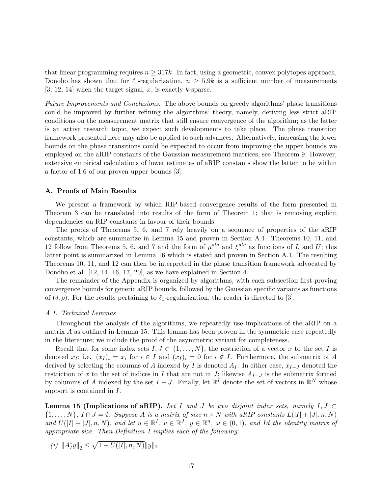that linear programming requires  $n \geq 317k$ . In fact, using a geometric, convex polytopes approach, Donoho has shown that for  $\ell_1$ -regularization,  $n \geq 5.9k$  is a sufficient number of measurements [3, 12, 14] when the target signal, x, is exactly k-sparse.

Future Improvements and Conclusions. The above bounds on greedy algorithms' phase transitions could be improved by further refining the algorithms' theory, namely, deriving less strict aRIP conditions on the measurement matrix that still ensure convergence of the algorithm; as the latter is an active research topic, we expect such developments to take place. The phase transition framework presented here may also be applied to such advances. Alternatively, increasing the lower bounds on the phase transitions could be expected to occur from improving the upper bounds we employed on the aRIP constants of the Gaussian measurement matrices, see Theorem 9. However, extensive empirical calculations of lower estimates of aRIP constants show the latter to be within a factor of 1.6 of our proven upper bounds [3].

#### A. Proofs of Main Results

We present a framework by which RIP-based convergence results of the form presented in Theorem 3 can be translated into results of the form of Theorem 1; that is removing explicit dependencies on RIP constants in favour of their bounds.

The proofs of Theorems 5, 6, and 7 rely heavily on a sequence of properties of the aRIP constants, which are summarize in Lemma 15 and proven in Section A.1. Theorems 10, 11, and 12 follow from Theorems 5, 6, and 7 and the form of  $\mu^{alg}$  and  $\xi^{alg}$  as functions of L and U; this latter point is summarized in Lemma 16 which is stated and proven in Section A.1. The resulting Theorems 10, 11, and 12 can then be interpreted in the phase transition framework advocated by Donoho et al. [12, 14, 16, 17, 20], as we have explained in Section 4.

The remainder of the Appendix is organized by algorithms, with each subsection first proving convergence bounds for generic aRIP bounds, followed by the Gaussian specific variants as functions of  $(\delta, \rho)$ . For the results pertaining to  $\ell_1$ -regularization, the reader is directed to [3].

#### A.1. Technical Lemmas

Throughout the analysis of the algorithms, we repeatedly use implications of the aRIP on a matrix A as outlined in Lemma 15. This lemma has been proven in the symmetric case repeatedly in the literature; we include the proof of the asymmetric variant for completeness.

Recall that for some index sets  $I, J \subset \{1, \ldots, N\}$ , the restriction of a vector x to the set I is denoted x<sub>I</sub>; i.e.  $(x_1)_i = x_i$  for  $i \in I$  and  $(x_1)_i = 0$  for  $i \notin I$ . Furthermore, the submatrix of A derived by selecting the columns of A indexed by I is denoted  $A_I$ . In either case,  $x_{I-J}$  denoted the restriction of x to the set of indices in I that are not in J; likewise  $A_{I-J}$  is the submatrix formed by columns of A indexed by the set  $I - J$ . Finally, let  $\mathbb{R}^I$  denote the set of vectors in  $\mathbb{R}^N$  whose support is contained in  $I$ .

**Lemma 15 (Implications of aRIP).** Let I and J be two disjoint index sets, namely  $I, J \subset$  $\{1,\ldots,N\}$ ;  $I \cap J = \emptyset$ . Suppose A is a matrix of size  $n \times N$  with aRIP constants  $L(|I| + |J|, n, N)$ and  $U(|I|+|J|, n, N)$ , and let  $u \in \mathbb{R}^I$ ,  $v \in \mathbb{R}^J$ ,  $y \in \mathbb{R}^n$ ,  $\omega \in (0, 1)$ , and Id the identity matrix of appropriate size. Then Definition 1 implies each of the following:

(i)  $||A_I^*y||_2 \leq \sqrt{1 + U(|I|, n, N)} ||y||_2$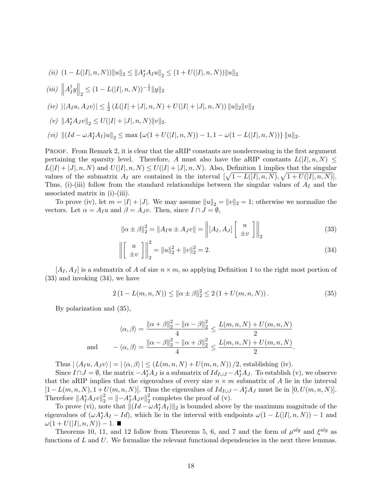$$
(ii)\ (1-L(|I|,n,N))\|u\|_2\leq \|A_I^*A_Iu\|_2\leq (1+U(|I|,n,N))\|u\|_2
$$

(iii) 
$$
||A_I^{\dagger}y||_2 \leq (1 - L(|I|, n, N))^{-\frac{1}{2}}||y||_2
$$

$$
(iv) \ |\langle A_I u, A_J v \rangle| \leq \frac{1}{2} \left( L(|I| + |J|, n, N) + U(|I| + |J|, n, N) \right) \|u\|_2 \|v\|_2
$$

$$
(v)\ {\left\| A_I^* A_J v \right\|_2} \le U(|I|+|J|,n,N) \|v\|_2.
$$

$$
(vi)\ \left\|\left( Id - \omega A_I^* A_I \right) u\right\|_2 \leq \max \left\{\omega(1+U(|I|,n,N)) - 1, 1 - \omega(1-L(|I|,n,N)) \right\} \|u\|_2.
$$

PROOF. From Remark 2, it is clear that the aRIP constants are nondecreasing in the first argument pertaining the sparsity level. Therefore, A must also have the aRIP constants  $L(|I|, n, N) \leq$  $L(|I| + |J|, n, N)$  and  $U(|I|, n, N) \leq U(|I| + |J|, n, N)$ . Also, Definition 1 implies that the singular values of the submatrix  $A_I$  are contained in the interval  $[\sqrt{1 - L(|I|, n, N)}, \sqrt{1 + U(|I|, n, N)}].$ Thus, (i)-(iii) follow from the standard relationships between the singular values of  $A_I$  and the associated matrix in (i)-(iii).

To prove (iv), let  $m = |I| + |J|$ . We may assume  $||u||_2 = ||v||_2 = 1$ ; otherwise we normalize the vectors. Let  $\alpha = A_I u$  and  $\beta = A_J v$ . Then, since  $I \cap J = \emptyset$ ,

$$
\|\alpha \pm \beta\|_2^2 = \|A_I u \pm A_J v\| = \left\| [A_I, A_J] \begin{bmatrix} u \\ \pm v \end{bmatrix} \right\|_2
$$
 (33)

$$
\left\| \begin{bmatrix} u \\ \pm v \end{bmatrix} \right\|_2^2 = \|u\|_2^2 + \|v\|_2^2 = 2.
$$
 (34)

 $[A_I, A_J]$  is a submatrix of A of size  $n \times m$ , so applying Definition 1 to the right most portion of (33) and invoking (34), we have

$$
2(1 - L(m, n, N)) \le ||\alpha \pm \beta||_2^2 \le 2(1 + U(m, n, N)).
$$
\n(35)

By polarization and (35),

$$
\langle \alpha, \beta \rangle = \frac{\|\alpha + \beta\|_2^2 - \|\alpha - \beta\|_2^2}{4} \le \frac{L(m, n, N) + U(m, n, N)}{2}
$$
  
and 
$$
-\langle \alpha, \beta \rangle = \frac{\|\alpha - \beta\|_2^2 - \|\alpha + \beta\|_2^2}{4} \le \frac{L(m, n, N) + U(m, n, N)}{2}.
$$

Thus  $|\langle A_Iu, A_Jv \rangle| = |\langle \alpha, \beta \rangle| \le (L(m, n, N) + U(m, n, N)) / 2$ , establishing (iv).

Since  $I \cap J = \emptyset$ , the matrix  $-A_I^* A_J$  is a submatrix of  $Id_{I \cup J} - A_I^* A_J$ . To establish (v), we observe that the aRIP implies that the eigenvalues of every size  $n \times m$  submatrix of A lie in the interval  $[1 - L(m, n, N), 1 + U(m, n, N)].$  Thus the eigenvalues of  $Id_{I \cup J} - A_I^* A_J$  must lie in  $[0, U(m, n, N)].$ Therefore  $||A_I^* A_J v||_2^2 = ||-A_I^* A_J v||_2^2$  $2<sub>2</sub>$  completes the proof of (v).

To prove (vi), note that  $\| (Id - \omega A_I^* A_I) \|_2$  is bounded above by the maximum magnitude of the eigenvalues of  $(\omega A_I^* A_I - Id)$ , which lie in the interval with endpoints  $\omega(1 - L(|I|, n, N)) - 1$  and  $\omega(1+U(|I|, n, N)) - 1. \blacksquare$ 

Theorems 10, 11, and 12 follow from Theorems 5, 6, and 7 and the form of  $\mu^{alg}$  and  $\xi^{alg}$  as functions of L and U. We formalize the relevant functional dependencies in the next three lemmas.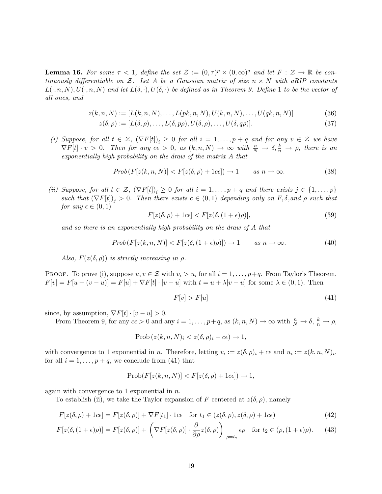**Lemma 16.** For some  $\tau < 1$ , define the set  $\mathcal{Z} := (0, \tau)^p \times (0, \infty)^q$  and let  $F : \mathcal{Z} \to \mathbb{R}$  be continuously differentiable on Z. Let A be a Gaussian matrix of size  $n \times N$  with aRIP constants  $L(\cdot, n, N), U(\cdot, n, N)$  and let  $L(\delta, \cdot), U(\delta, \cdot)$  be defined as in Theorem 9. Define 1 to be the vector of all ones, and

$$
z(k, n, N) := [L(k, n, N), \dots, L(pk, n, N), U(k, n, N), \dots, U(qk, n, N)]
$$
\n(36)

$$
z(\delta,\rho) := [L(\delta,\rho),\ldots,L(\delta,p\rho),U(\delta,\rho),\ldots,U(\delta,q\rho)].
$$
\n(37)

(i) Suppose, for all  $t \in \mathcal{Z}$ ,  $(\nabla F[t])_i \geq 0$  for all  $i = 1, \ldots, p + q$  and for any  $v \in \mathcal{Z}$  we have  $\nabla F[t] \cdot v > 0$ . Then for any  $c\epsilon > 0$ , as  $(k, n, N) \to \infty$  with  $\frac{n}{N} \to \delta, \frac{k}{n} \to \rho$ , there is an exponentially high probability on the draw of the matrix A that

$$
Prob(F[z(k, n, N)] < F[z(\delta, \rho) + 1c\epsilon]) \to 1 \qquad \text{as } n \to \infty. \tag{38}
$$

(ii) Suppose, for all  $t \in \mathcal{Z}$ ,  $(\nabla F[t])_i \geq 0$  for all  $i = 1, \ldots, p + q$  and there exists  $j \in \{1, \ldots, p\}$ such that  $(\nabla F[t])_j > 0$ . Then there exists  $c \in (0,1)$  depending only on  $F, \delta,$  and  $\rho$  such that for any  $\epsilon \in (0,1)$ 

$$
F[z(\delta,\rho) + 1c\epsilon] < F[z(\delta,(1+\epsilon)\rho)],\tag{39}
$$

and so there is an exponentially high probability on the draw of A that

$$
Prob(F[z(k, n, N)] < F[z(\delta, (1+\epsilon)\rho)]) \to 1 \qquad \text{as } n \to \infty. \tag{40}
$$

Also,  $F(z(\delta, \rho))$  is strictly increasing in  $\rho$ .

PROOF. To prove (i), suppose  $u, v \in \mathcal{Z}$  with  $v_i > u_i$  for all  $i = 1, \ldots, p+q$ . From Taylor's Theorem,  $F[v] = F[u + (v - u)] = F[u] + \nabla F[t] \cdot [v - u]$  with  $t = u + \lambda [v - u]$  for some  $\lambda \in (0, 1)$ . Then

$$
F[v] > F[u] \tag{41}
$$

since, by assumption,  $\nabla F[t] \cdot [v - u] > 0$ .

From Theorem 9, for any  $c\epsilon > 0$  and any  $i = 1, \ldots, p+q$ , as  $(k, n, N) \to \infty$  with  $\frac{n}{N} \to \delta$ ,  $\frac{k}{n} \to \rho$ ,

Prob  $(z(k, n, N)_i < z(\delta, \rho)_i + c\epsilon) \rightarrow 1$ ,

with convergence to 1 exponential in n. Therefore, letting  $v_i := z(\delta, \rho)_i + c\epsilon$  and  $u_i := z(k, n, N)_i$ , for all  $i = 1, \ldots, p + q$ , we conclude from (41) that

$$
Prob(F[z(k, n, N)] < F[z(\delta, \rho) + 1c\epsilon]) \to 1,
$$

again with convergence to 1 exponential in  $n$ .

To establish (ii), we take the Taylor expansion of F centered at  $z(\delta, \rho)$ , namely

$$
F[z(\delta,\rho) + 1c\epsilon] = F[z(\delta,\rho)] + \nabla F[t_1] \cdot 1c\epsilon \quad \text{for } t_1 \in (z(\delta,\rho), z(\delta,\rho) + 1c\epsilon)
$$
\n(42)

$$
F[z(\delta, (1+\epsilon)\rho)] = F[z(\delta, \rho)] + \left(\nabla F[z(\delta, \rho)] \cdot \frac{\partial}{\partial \rho} z(\delta, \rho)\right)\Big|_{\rho=t_2} \epsilon \rho \quad \text{for } t_2 \in (\rho, (1+\epsilon)\rho). \tag{43}
$$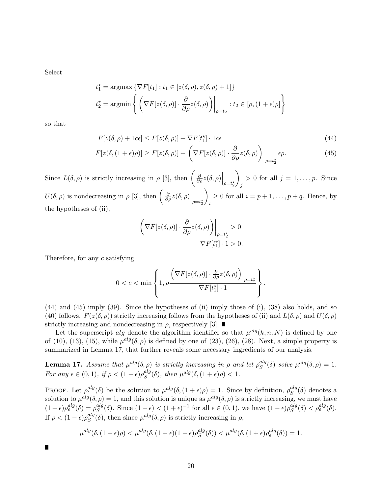Select

$$
t_1^* = \operatorname{argmax} \{ \nabla F[t_1] : t_1 \in [z(\delta, \rho), z(\delta, \rho) + 1] \}
$$
  

$$
t_2^* = \operatorname{argmin} \left\{ \left( \nabla F[z(\delta, \rho)] \cdot \frac{\partial}{\partial \rho} z(\delta, \rho) \right) \Big|_{\rho = t_2} : t_2 \in [\rho, (1 + \epsilon)\rho] \right\}
$$

so that

$$
F[z(\delta,\rho) + 1c\epsilon] \le F[z(\delta,\rho)] + \nabla F[t_1^*] \cdot 1c\epsilon
$$
\n(44)

$$
F[z(\delta, (1+\epsilon)\rho)] \ge F[z(\delta, \rho)] + \left(\nabla F[z(\delta, \rho)] \cdot \frac{\partial}{\partial \rho} z(\delta, \rho)\right)\Big|_{\rho=t_2^*} \epsilon \rho.
$$
 (45)

Since  $L(\delta, \rho)$  is strictly increasing in  $\rho$  [3], then  $\left(\frac{\partial}{\partial \rho}z(\delta, \rho)\Big|_{\rho=t_2^*}$  $\setminus$ j  $> 0$  for all  $j = 1, \ldots, p$ . Since  $U(\delta, \rho)$  is nondecreasing in  $\rho$  [3], then  $\left(\frac{\partial}{\partial \rho}z(\delta, \rho)\Big|_{\rho=t_2^*}$  $\setminus$ i  $\geq 0$  for all  $i = p + 1, \ldots, p + q$ . Hence, by the hypotheses of (ii),

$$
\left(\nabla F[z(\delta,\rho)]\cdot\frac{\partial}{\partial\rho}z(\delta,\rho)\right)\Big|_{\rho=t_2^{\star}}>0
$$
  

$$
\nabla F[t_1^{\star}]\cdot 1>0.
$$

Therefore, for any c satisfying

$$
0 < c < \min\left\{1, \rho \frac{\left(\nabla F[z(\delta, \rho)] \cdot \frac{\partial}{\partial \rho} z(\delta, \rho)\right)\Big|_{\rho = t_2^{\star}}}{\nabla F[t_1^{\star}] \cdot 1}\right\},
$$

 $(44)$  and  $(45)$  imply  $(39)$ . Since the hypotheses of (ii) imply those of (i),  $(38)$  also holds, and so (40) follows.  $F(z(\delta, \rho))$  strictly increasing follows from the hypotheses of (ii) and  $L(\delta, \rho)$  and  $U(\delta, \rho)$ strictly increasing and nondecreasing in  $\rho$ , respectively [3].

Let the superscript alg denote the algorithm identifier so that  $\mu^{alg}(k, n, N)$  is defined by one of (10), (13), (15), while  $\mu^{alg}(\delta, \rho)$  is defined by one of (23), (26), (28). Next, a simple property is summarized in Lemma 17, that further reveals some necessary ingredients of our analysis.

**Lemma 17.** Assume that  $\mu^{alg}(\delta, \rho)$  is strictly increasing in  $\rho$  and let  $\rho^{alg}_{S}$  $s^{alg}(\delta)$  solve  $\mu^{alg}(\delta, \rho) = 1$ . For any  $\epsilon \in (0,1)$ , if  $\rho < (1-\epsilon)\rho_S^{alg}$  ${}_{S}^{alg}(\delta)$ , then  $\mu^{alg}(\delta,(1+\epsilon)\rho) < 1$ .

PROOF. Let  $\rho_{\epsilon}^{alg}(\delta)$  be the solution to  $\mu^{alg}(\delta,(1+\epsilon)\rho) = 1$ . Since by definition,  $\rho_{S}^{alg}$  ${}^{aug}_{S}(\delta)$  denotes a solution to  $\mu^{alg}(\delta, \rho) = 1$ , and this solution is unique as  $\mu^{alg}(\delta, \rho)$  is strictly increasing, we must have  $(1+\epsilon)\rho_{\epsilon}^{alg}(\delta) = \rho_{S}^{alg}$  $s^{alg}(\delta)$ . Since  $(1 - \epsilon) < (1 + \epsilon)^{-1}$  for all  $\epsilon \in (0, 1)$ , we have  $(1 - \epsilon)\rho_S^{alg}$  $_s^{alg}(\delta) < \rho_{\epsilon}^{alg}(\delta).$ If  $\rho < (1 - \epsilon) \rho_S^{alg}$  $s^{alg}(\delta)$ , then since  $\mu^{alg}(\delta,\rho)$  is strictly increasing in  $\rho$ ,

$$
\mu^{alg}(\delta, (1+\epsilon)\rho) < \mu^{alg}(\delta, (1+\epsilon)(1-\epsilon)\rho_S^{alg}(\delta)) < \mu^{alg}(\delta, (1+\epsilon)\rho_{\epsilon}^{alg}(\delta)) = 1.
$$

П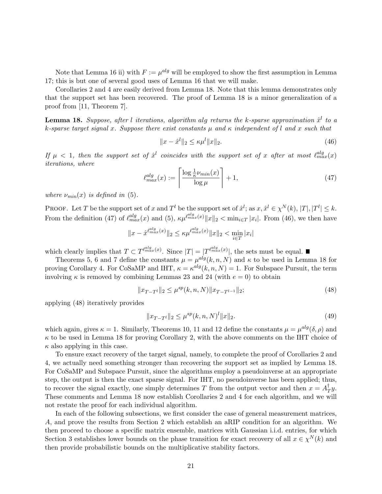Note that Lemma 16 ii) with  $F := \mu^{alg}$  will be employed to show the first assumption in Lemma 17; this is but one of several good uses of Lemma 16 that we will make.

Corollaries 2 and 4 are easily derived from Lemma 18. Note that this lemma demonstrates only that the support set has been recovered. The proof of Lemma 18 is a minor generalization of a proof from [11, Theorem 7].

**Lemma 18.** Suppose, after l iterations, algorithm alg returns the k-sparse approximation  $\hat{x}^l$  to a k-sparse target signal x. Suppose there exist constants  $\mu$  and  $\kappa$  independent of l and x such that

$$
||x - \hat{x}^{l}||_{2} \le \kappa \mu^{l} ||x||_{2}.
$$
\n(46)

If  $\mu$  < 1, then the support set of  $\hat{x}^l$  coincides with the support set of x after at most  $\ell_{max}^{alg}(x)$ iterations, where

$$
\ell_{max}^{alg}(x) := \left\lceil \frac{\log \frac{1}{\kappa} \nu_{min}(x)}{\log \mu} \right\rceil + 1,\tag{47}
$$

where  $\nu_{min}(x)$  is defined in (5).

**PROOF.** Let T be the support set of x and T<sup>l</sup> be the support set of  $\hat{x}^l$ ; as  $x, \hat{x}^l \in \chi^N(k)$ ,  $|T|, |T^l| \leq k$ . From the definition (47) of  $\ell_{max}^{alg}(x)$  and (5),  $\kappa \mu_{max}^{\ell_{max}^{alg}(x)} ||x||_2 < \min_{i \in T} |x_i|$ . From (46), we then have

$$
||x - \hat{x}^{\ell_{max}^{alg}(x)}||_2 \le \kappa \mu^{\ell_{max}^{alg}(x)} ||x||_2 < \min_{i \in T} |x_i|
$$

which clearly implies that  $T \subset T^{\ell_{max}^{alg}(x)}$ . Since  $|T| = |T^{\ell_{max}^{alg}(x)}|$ , the sets must be equal.

Theorems 5, 6 and 7 define the constants  $\mu = \mu^{alg}(k, n, N)$  and  $\kappa$  to be used in Lemma 18 for proving Corollary 4. For CoSaMP and IHT,  $\kappa = \kappa^{alg}(k, n, N) = 1$ . For Subspace Pursuit, the term involving  $\kappa$  is removed by combining Lemmas 23 and 24 (with  $e = 0$ ) to obtain

$$
||x_{T-T^{l}}||_{2} \leq \mu^{sp}(k, n, N)||x_{T-T^{l-1}}||_{2};
$$
\n(48)

applying (48) iteratively provides

$$
||x_{T-T^{l}}||_{2} \leq \mu^{sp}(k, n, N)^{l} ||x||_{2}.
$$
\n(49)

which again, gives  $\kappa = 1$ . Similarly, Theorems 10, 11 and 12 define the constants  $\mu = \mu^{alg}(\delta, \rho)$  and  $\kappa$  to be used in Lemma 18 for proving Corollary 2, with the above comments on the IHT choice of  $\kappa$  also applying in this case.

To ensure exact recovery of the target signal, namely, to complete the proof of Corollaries 2 and 4, we actually need something stronger than recovering the support set as implied by Lemma 18. For CoSaMP and Subspace Pursuit, since the algorithms employ a pseudoinverse at an appropriate step, the output is then the exact sparse signal. For IHT, no pseudoinverse has been applied; thus, to recover the signal exactly, one simply determines T from the output vector and then  $x = A^{\dagger}_{7}$  $_{T}^{\intercal}y.$ These comments and Lemma 18 now establish Corollaries 2 and 4 for each algorithm, and we will not restate the proof for each individual algorithm.

In each of the following subsections, we first consider the case of general measurement matrices, A, and prove the results from Section 2 which establish an aRIP condition for an algorithm. We then proceed to choose a specific matrix ensemble, matrices with Gaussian i.i.d. entries, for which Section 3 establishes lower bounds on the phase transition for exact recovery of all  $x \in \chi^N(k)$  and then provide probabilistic bounds on the multiplicative stability factors.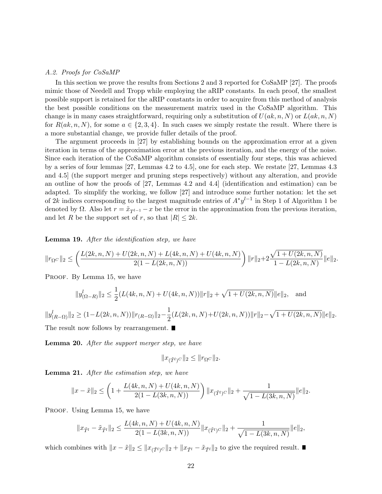## A.2. Proofs for CoSaMP

In this section we prove the results from Sections 2 and 3 reported for CoSaMP [27]. The proofs mimic those of Needell and Tropp while employing the aRIP constants. In each proof, the smallest possible support is retained for the aRIP constants in order to acquire from this method of analysis the best possible conditions on the measurement matrix used in the CoSaMP algorithm. This change is in many cases straightforward, requiring only a substitution of  $U(a,k,n,N)$  or  $L(a,k,n,N)$ for  $R(a,k,n,N)$ , for some  $a \in \{2,3,4\}$ . In such cases we simply restate the result. Where there is a more substantial change, we provide fuller details of the proof.

The argument proceeds in [27] by establishing bounds on the approximation error at a given iteration in terms of the approximation error at the previous iteration, and the energy of the noise. Since each iteration of the CoSaMP algorithm consists of essentially four steps, this was achieved by a series of four lemmas [27, Lemmas 4.2 to 4.5], one for each step. We restate [27, Lemmas 4.3 and 4.5] (the support merger and pruning steps respectively) without any alteration, and provide an outline of how the proofs of [27, Lemmas 4.2 and 4.4] (identification and estimation) can be adapted. To simplify the working, we follow [27] and introduce some further notation: let the set of 2k indices corresponding to the largest magnitude entries of  $A^*y^{l-1}$  in Step 1 of Algorithm 1 be denoted by  $\Omega$ . Also let  $r = \tilde{x}_{T^{l-1}} - x$  be the error in the approximation from the previous iteration, and let R be the support set of r, so that  $|R| \leq 2k$ .

Lemma 19. After the identification step, we have

$$
\|r_{\Omega^C}\|_2 \leq \left(\frac{L(2k,n,N) + U(2k,n,N) + L(4k,n,N) + U(4k,n,N)}{2(1-L(2k,n,N))}\right) \|r\|_2 + 2\frac{\sqrt{1+U(2k,n,N)}}{1-L(2k,n,N)} \|e\|_2.
$$

PROOF. By Lemma 15, we have

$$
||y_{(\Omega-R)}^l||_2 \le \frac{1}{2}(L(4k,n,N) + U(4k,n,N))||r||_2 + \sqrt{1 + U(2k,n,N)}||e||_2, \text{ and}
$$

 $||y_{(R-\Omega)}^l||_2 \geq (1 - L(2k, n, N)) ||r_{(R-\Omega)}||_2 - \frac{1}{2}$  $\frac{1}{2}(L(2k,n,N)+U(2k,n,N))\|r\|_2-\sqrt{1+U(2k,n,N)}\|e\|_2.$ The result now follows by rearrangement.  $\blacksquare$ 

Lemma 20. After the support merger step, we have

$$
||x_{(\tilde{T}^l)^C}||_2 \leq ||r_{\Omega^C}||_2.
$$

Lemma 21. After the estimation step, we have

$$
||x - \tilde{x}||_2 \le \left(1 + \frac{L(4k, n, N) + U(4k, n, N)}{2(1 - L(3k, n, N))}\right) ||x_{(\tilde{T}^l)^C}||_2 + \frac{1}{\sqrt{1 - L(3k, n, N)}}||e||_2.
$$

PROOF. Using Lemma 15, we have

$$
||x_{\tilde{T}^l} - \tilde{x}_{\tilde{T}^l}||_2 \le \frac{L(4k, n, N) + U(4k, n, N)}{2(1 - L(3k, n, N))} ||x_{(\tilde{T}^l)^C}||_2 + \frac{1}{\sqrt{1 - L(3k, n, N)}} ||e||_2,
$$

which combines with  $||x - \tilde{x}||_2 \le ||x_{(\tilde{T}^l)^C}||_2 + ||x_{\tilde{T}^l} - \tilde{x}_{\tilde{T}^l}||_2$  to give the required result. ■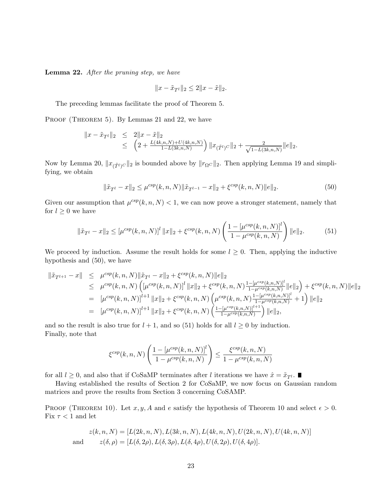Lemma 22. After the pruning step, we have

$$
||x-\tilde{x}_{T^l}||_2\leq 2||x-\tilde{x}||_2.
$$

The preceding lemmas facilitate the proof of Theorem 5.

PROOF (THEOREM 5). By Lemmas 21 and 22, we have

$$
||x - \tilde{x}_{T^l}||_2 \leq 2||x - \tilde{x}||_2
$$
  
 
$$
\leq \left(2 + \frac{L(4k, n, N) + U(4k, n, N)}{1 - L(3k, n, N)}\right) ||x_{(\tilde{T}^l)}c||_2 + \frac{2}{\sqrt{1 - L(3k, n, N)}}||e||_2.
$$

Now by Lemma 20,  $||x_{(\tilde{T}^l)C}||_2$  is bounded above by  $||r_{\Omega}C||_2$ . Then applying Lemma 19 and simplifying, we obtain

$$
\|\tilde{x}_{T^{l}} - x\|_{2} \leq \mu^{csp}(k, n, N) \|\tilde{x}_{T^{l-1}} - x\|_{2} + \xi^{csp}(k, n, N) \|e\|_{2}.
$$
\n(50)

Given our assumption that  $\mu^{csp}(k, n, N) < 1$ , we can now prove a stronger statement, namely that for  $l \geq 0$  we have

$$
\|\tilde{x}_{T^{l}} - x\|_{2} \leq \left[\mu^{csp}(k, n, N)\right]^{l} \|x\|_{2} + \xi^{csp}(k, n, N) \left(\frac{1 - \left[\mu^{csp}(k, n, N)\right]^{l}}{1 - \mu^{csp}(k, n, N)}\right) \|e\|_{2}.
$$
 (51)

We proceed by induction. Assume the result holds for some  $l \geq 0$ . Then, applying the inductive hypothesis and (50), we have

$$
\begin{split}\n\|\tilde{x}_{T^{l+1}} - x\| &\leq \mu^{csp}(k, n, N) \|\tilde{x}_{T^{l}} - x\|_{2} + \xi^{csp}(k, n, N) \|e\|_{2} \\
&\leq \mu^{csp}(k, n, N) \left( \left[\mu^{csp}(k, n, N)\right]^l \|x\|_{2} + \xi^{csp}(k, n, N) \frac{1 - \left[\mu^{csp}(k, n, N)\right]^l}{1 - \mu^{csp}(k, n, N)} \|e\|_{2} \right) + \xi^{csp}(k, n, N) \|e\|_{2} \\
&= \left[\mu^{csp}(k, n, N)\right]^{l+1} \|x\|_{2} + \xi^{csp}(k, n, N) \left(\mu^{csp}(k, n, N) \frac{1 - \left[\mu^{csp}(k, n, N)\right]^l}{1 - \mu^{csp}(k, n, N)} + 1\right) \|e\|_{2} \\
&= \left[\mu^{csp}(k, n, N)\right]^{l+1} \|x\|_{2} + \xi^{csp}(k, n, N) \left(\frac{1 - \left[\mu^{csp}(k, n, N)\right]^{l+1}}{1 - \mu^{csp}(k, n, N)}\right) \|e\|_{2},\n\end{split}
$$

and so the result is also true for  $l + 1$ , and so (51) holds for all  $l \geq 0$  by induction. Finally, note that

$$
\xi^{csp}(k,n,N) \left( \frac{1 - \left[ \mu^{csp}(k,n,N) \right]^l}{1 - \mu^{csp}(k,n,N)} \right) \le \frac{\xi^{csp}(k,n,N)}{1 - \mu^{csp}(k,n,N)}
$$

for all  $l \geq 0$ , and also that if CoSaMP terminates after l iterations we have  $\hat{x} = \tilde{x}_{T}$ .

Having established the results of Section 2 for CoSaMP, we now focus on Gaussian random matrices and prove the results from Section 3 concerning CoSAMP.

PROOF (THEOREM 10). Let  $x, y, A$  and e satisfy the hypothesis of Theorem 10 and select  $\epsilon > 0$ . Fix  $\tau < 1$  and let

$$
z(k, n, N) = [L(2k, n, N), L(3k, n, N), L(4k, n, N), U(2k, n, N), U(4k, n, N)]
$$
  
and 
$$
z(\delta, \rho) = [L(\delta, 2\rho), L(\delta, 3\rho), L(\delta, 4\rho), U(\delta, 2\rho), U(\delta, 4\rho)].
$$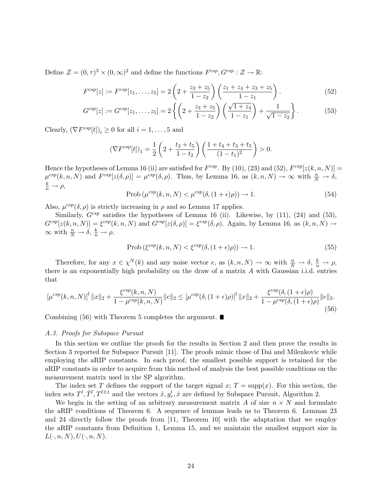Define  $\mathcal{Z} = (0, \tau)^3 \times (0, \infty)^2$  and define the functions  $F^{csp}, G^{csp} : \mathcal{Z} \to \mathbb{R}$ :

$$
F^{csp}[z] := F^{csp}[z_1, \dots, z_5] = 2\left(2 + \frac{z_3 + z_5}{1 - z_2}\right)\left(\frac{z_1 + z_4 + z_3 + z_5}{1 - z_1}\right). \tag{52}
$$

$$
G^{csp}[z] := G^{csp}[z_1, \dots, z_5] = 2\left\{ \left(2 + \frac{z_3 + z_5}{1 - z_2}\right) \left(\frac{\sqrt{1 + z_4}}{1 - z_1}\right) + \frac{1}{\sqrt{1 - z_2}} \right\}.
$$
 (53)

Clearly,  $(\nabla F^{csp}[t])_i \geq 0$  for all  $i = 1, ..., 5$  and

$$
\left(\nabla F^{csp}[t]\right)_1 = \frac{1}{2} \left(2 + \frac{t_3 + t_5}{1 - t_2}\right) \left(\frac{1 + t_4 + t_3 + t_5}{(1 - t_1)^2}\right) > 0.
$$

Hence the hypotheses of Lemma 16 (ii) are satisfied for  $F^{csp}$ . By (10), (23) and (52),  $F^{csp}[z(k, n, N)] =$  $\mu^{csp}(k,n,N)$  and  $F^{csp}[z(\delta,\rho)] = \mu^{csp}(\delta,\rho)$ . Thus, by Lemma 16, as  $(k,n,N) \to \infty$  with  $\frac{n}{N} \to \delta$ ,  $\frac{k}{n} \to \rho$ ,

$$
\text{Prob}\left(\mu^{csp}(k,n,N) < \mu^{csp}(\delta, (1+\epsilon)\rho)\right) \to 1. \tag{54}
$$

Also,  $\mu^{csp}(\delta, \rho)$  is strictly increasing in  $\rho$  and so Lemma 17 applies.

Similarly,  $G^{csp}$  satisfies the hypotheses of Lemma 16 (ii). Likewise, by (11), (24) and (53),  $G^{csp}[z(k,n,N)] = \xi^{csp}(k,n,N)$  and  $G^{csp}[z(\delta,\rho)] = \xi^{csp}(\delta,\rho)$ . Again, by Lemma 16, as  $(k,n,N) \rightarrow$  $\infty$  with  $\frac{n}{N} \to \delta$ ,  $\frac{k}{n} \to \rho$ ,

$$
\text{Prob}\left(\xi^{\text{csp}}(k,n,N) < \xi^{\text{csp}}(\delta,(1+\epsilon)\rho)\right) \to 1. \tag{55}
$$

Therefore, for any  $x \in \chi^N(k)$  and any noise vector e, as  $(k, n, N) \to \infty$  with  $\frac{n}{N} \to \delta$ ,  $\frac{k}{n} \to \rho$ , there is an exponentially high probability on the draw of a matrix A with Gaussian i.i.d. entries that

$$
\left[\mu^{csp}(k,n,N)\right]^l \|x\|_2 + \frac{\xi^{csp}(k,n,N)}{1 - \mu^{csp}(k,n,N)} \|e\|_2 \leq \left[\mu^{csp}(\delta, (1+\epsilon)\rho)\right]^l \|x\|_2 + \frac{\xi^{csp}(\delta, (1+\epsilon)\rho)}{1 - \mu^{csp}(\delta, (1+\epsilon)\rho)} \|e\|_2.
$$
\n(56)

Combining  $(56)$  with Theorem 5 completes the argument.

## A.3. Proofs for Subspace Pursuit

In this section we outline the proofs for the results in Section 2 and then prove the results in Section 3 reported for Subspace Pursuit [11]. The proofs mimic those of Dai and Milenkovic while employing the aRIP constants. In each proof, the smallest possible support is retained for the aRIP constants in order to acquire from this method of analysis the best possible conditions on the measurement matrix used in the SP algorithm.

The index set T defines the support of the target signal x;  $T = \text{supp}(x)$ . For this section, the index sets  $T^l$ ,  $\tilde{T}^l$ ,  $T^{l\pm 1}$  and the vectors  $\tilde{x}$ ,  $y_r^l$ ,  $\hat{x}$  are defined by Subspace Pursuit, Algorithm 2.

We begin in the setting of an arbitrary measurement matrix A of size  $n \times N$  and formulate the aRIP conditions of Theorem 6. A sequence of lemmas leads us to Theorem 6. Lemmas 23 and 24 directly follow the proofs from [11, Theorem 10] with the adaptation that we employ the aRIP constants from Definition 1, Lemma 15, and we maintain the smallest support size in  $L(\cdot, n, N), U(\cdot, n, N).$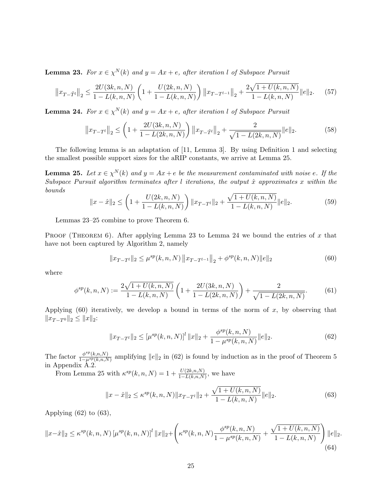**Lemma 23.** For  $x \in \chi^N(k)$  and  $y = Ax + e$ , after iteration l of Subspace Pursuit

$$
\|x_{T-\tilde{T}^l}\|_2 \le \frac{2U(3k,n,N)}{1-L(k,n,N)} \left(1 + \frac{U(2k,n,N)}{1-L(k,n,N)}\right) \|x_{T-T^{l-1}}\|_2 + \frac{2\sqrt{1+U(k,n,N)}}{1-L(k,n,N)}\|e\|_2.
$$
 (57)

**Lemma 24.** For  $x \in \chi^N(k)$  and  $y = Ax + e$ , after iteration l of Subspace Pursuit

$$
||x_{T-T^{l}}||_{2} \leq \left(1 + \frac{2U(3k, n, N)}{1 - L(2k, n, N)}\right) ||x_{T-\tilde{T}^{l}}||_{2} + \frac{2}{\sqrt{1 - L(2k, n, N)}}||e||_{2}.
$$
 (58)

The following lemma is an adaptation of [11, Lemma 3]. By using Definition 1 and selecting the smallest possible support sizes for the aRIP constants, we arrive at Lemma 25.

**Lemma 25.** Let  $x \in \chi^N(k)$  and  $y = Ax + e$  be the measurement contaminated with noise e. If the Subspace Pursuit algorithm terminates after l iterations, the output  $\hat{x}$  approximates x within the bounds

$$
||x - \hat{x}||_2 \le \left(1 + \frac{U(2k, n, N)}{1 - L(k, n, N)}\right) ||x_{T-T'}||_2 + \frac{\sqrt{1 + U(k, n, N)}}{1 - L(k, n, N)} ||e||_2.
$$
 (59)

Lemmas 23–25 combine to prove Theorem 6.

PROOF (THEOREM 6). After applying Lemma 23 to Lemma 24 we bound the entries of  $x$  that have not been captured by Algorithm 2, namely

$$
||x_{T-T^{l}}||_{2} \leq \mu^{sp}(k, n, N) ||x_{T-T^{l-1}}||_{2} + \phi^{sp}(k, n, N) ||e||_{2}
$$
\n(60)

where

$$
\phi^{sp}(k,n,N) := \frac{2\sqrt{1+U(k,n,N)}}{1-L(k,n,N)} \left(1 + \frac{2U(3k,n,N)}{1-L(2k,n,N)}\right) + \frac{2}{\sqrt{1-L(2k,n,N)}}.\tag{61}
$$

Applying  $(60)$  iteratively, we develop a bound in terms of the norm of x, by observing that  $||x_{T-T^0}||_2 \leq ||x||_2$ :

$$
||x_{T-T^{l}}||_{2} \leq \left[\mu^{sp}(k,n,N)\right]^{l} ||x||_{2} + \frac{\phi^{sp}(k,n,N)}{1-\mu^{sp}(k,n,N)} ||e||_{2}.
$$
\n(62)

The factor  $\frac{\phi^{sp}(k,n,N)}{1-\mu^{sp}(k,n,N)}$  $\frac{\phi^{c}F(k,n,N)}{1-\mu^{sp}(k,n,N)}$  amplifying  $||e||_2$  in (62) is found by induction as in the proof of Theorem 5 in Appendix A.2.

From Lemma 25 with  $\kappa^{sp}(k,n,N) = 1 + \frac{U(2k,n,N)}{1 - L(k,n,N)}$ , we have

$$
||x - \hat{x}||_2 \le \kappa^{sp}(k, n, N) ||x_{T-T'}||_2 + \frac{\sqrt{1 + U(k, n, N)}}{1 - L(k, n, N)} ||e||_2.
$$
 (63)

Applying  $(62)$  to  $(63)$ ,

$$
||x-\hat{x}||_2 \le \kappa^{sp}(k,n,N) \left[\mu^{sp}(k,n,N)\right]^l ||x||_2 + \left(\kappa^{sp}(k,n,N) \frac{\phi^{sp}(k,n,N)}{1-\mu^{sp}(k,n,N)} + \frac{\sqrt{1+U(k,n,N)}}{1-L(k,n,N)}\right) ||e||_2.
$$
\n(64)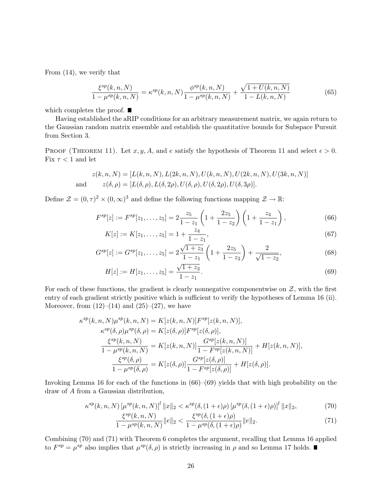From (14), we verify that

$$
\frac{\xi^{sp}(k,n,N)}{1 - \mu^{sp}(k,n,N)} = \kappa^{sp}(k,n,N)\frac{\phi^{sp}(k,n,N)}{1 - \mu^{sp}(k,n,N)} + \frac{\sqrt{1 + U(k,n,N)}}{1 - L(k,n,N)}\tag{65}
$$

which completes the proof.  $\blacksquare$ 

Having established the aRIP conditions for an arbitrary measurement matrix, we again return to the Gaussian random matrix ensemble and establish the quantitative bounds for Subspace Pursuit from Section 3.

PROOF (THEOREM 11). Let  $x, y, A$ , and e satisfy the hypothesis of Theorem 11 and select  $\epsilon > 0$ . Fix  $\tau < 1$  and let

$$
z(k, n, N) = [L(k, n, N), L(2k, n, N), U(k, n, N), U(2k, n, N), U(3k, n, N)]
$$
  
and 
$$
z(\delta, \rho) = [L(\delta, \rho), L(\delta, 2\rho), U(\delta, \rho), U(\delta, 2\rho), U(\delta, 3\rho)].
$$

Define  $\mathcal{Z} = (0, \tau)^2 \times (0, \infty)^3$  and define the following functions mapping  $\mathcal{Z} \to \mathbb{R}$ :

$$
F^{sp}[z] := F^{sp}[z_1, \dots, z_5] = 2 \frac{z_5}{1 - z_1} \left( 1 + \frac{2z_5}{1 - z_2} \right) \left( 1 + \frac{z_4}{1 - z_1} \right),\tag{66}
$$

$$
K[z] := K[z_1, \dots, z_5] = 1 + \frac{z_4}{1 - z_1},\tag{67}
$$

$$
G^{sp}[z] := G^{sp}[z_1, \dots, z_5] = 2 \frac{\sqrt{1+z_3}}{1-z_1} \left(1 + \frac{2z_5}{1-z_2}\right) + \frac{2}{\sqrt{1-z_2}},\tag{68}
$$

$$
H[z] := H[z_1, \dots, z_5] = \frac{\sqrt{1+z_3}}{1-z_1}.
$$
\n(69)

For each of these functions, the gradient is clearly nonnegative componentwise on  $\mathcal{Z}$ , with the first entry of each gradient strictly positive which is sufficient to verify the hypotheses of Lemma 16 (ii). Moreover, from  $(12)–(14)$  and  $(25)–(27)$ , we have

$$
\kappa^{sp}(k, n, N)\mu^{sp}(k, n, N) = K[z(k, n, N)]F^{sp}[z(k, n, N)],
$$
  
\n
$$
\kappa^{sp}(\delta, \rho)\mu^{sp}(\delta, \rho) = K[z(\delta, \rho)]F^{sp}[z(\delta, \rho)],
$$
  
\n
$$
\frac{\xi^{sp}(k, n, N)}{1 - \mu^{sp}(k, n, N)} = K[z(k, n, N)]\frac{G^{sp}[z(k, n, N)]}{1 - F^{sp}[z(k, n, N)]} + H[z(k, n, N)],
$$
  
\n
$$
\frac{\xi^{sp}(\delta, \rho)}{1 - \mu^{sp}(\delta, \rho)} = K[z(\delta, \rho)]\frac{G^{sp}[z(\delta, \rho)]}{1 - F^{sp}[z(\delta, \rho)]} + H[z(\delta, \rho)].
$$

Invoking Lemma 16 for each of the functions in (66)–(69) yields that with high probability on the draw of A from a Gaussian distribution,

$$
\kappa^{sp}(k,n,N)\left[\mu^{sp}(k,n,N)\right]^l \|x\|_2 < \kappa^{sp}(\delta,(1+\epsilon)\rho)\left[\mu^{sp}(\delta,(1+\epsilon)\rho)\right]^l \|x\|_2,\tag{70}
$$

$$
\frac{\xi^{sp}(k,n,N)}{1-\mu^{sp}(k,n,N)}\|e\|_2 < \frac{\xi^{sp}(\delta,(1+\epsilon)\rho)}{1-\mu^{sp}(\delta,(1+\epsilon)\rho)}\|e\|_2. \tag{71}
$$

Combining (70) and (71) with Theorem 6 completes the argument, recalling that Lemma 16 applied to  $F^{sp} = \mu^{sp}$  also implies that  $\mu^{sp}(\delta, \rho)$  is strictly increasing in  $\rho$  and so Lemma 17 holds.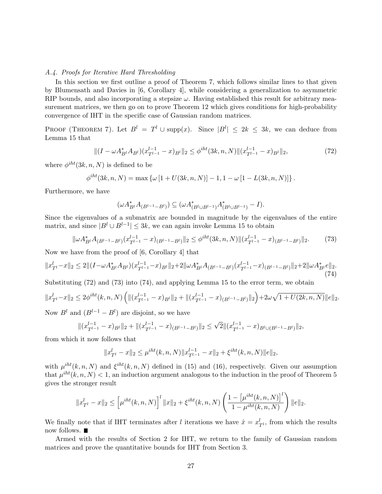## A.4. Proofs for Iterative Hard Thresholding

In this section we first outline a proof of Theorem 7, which follows similar lines to that given by Blumensath and Davies in [6, Corollary 4], while considering a generalization to asymmetric RIP bounds, and also incorporating a stepsize  $\omega$ . Having established this result for arbitrary measurement matrices, we then go on to prove Theorem 12 which gives conditions for high-probability convergence of IHT in the specific case of Gaussian random matrices.

PROOF (THEOREM 7). Let  $B^l = T^l \cup \text{supp}(x)$ . Since  $|B^l| \leq 2k \leq 3k$ , we can deduce from Lemma 15 that

$$
\|(I - \omega A_{B^l}^* A_{B^l})(x_{T^{l-1}}^{l-1} - x)_{B^l}\|_2 \le \phi^{iht}(3k, n, N) \|(x_{T^{l-1}}^{l-1} - x)_{B^l}\|_2,
$$
\n(72)

where  $\phi^{iht}(3k, n, N)$  is defined to be

$$
\phi^{iht}(3k,n,N) = \max \left\{ \omega \left[ 1 + U(3k,n,N) \right] - 1, 1 - \omega \left[ 1 - L(3k,n,N) \right] \right\}.
$$

Furthermore, we have

$$
(\omega A_{B^l}^* A_{(B^{l-1}-B^l)}) \subseteq (\omega A_{(B^l \cup B^{l-1})}^* A_{(B^l \cup B^{l-1})}^* - I).
$$

Since the eigenvalues of a submatrix are bounded in magnitude by the eigenvalues of the entire matrix, and since  $|B^l \cup B^{l-1}| \leq 3k$ , we can again invoke Lemma 15 to obtain

$$
\|\omega A_{B^l}^* A_{(B^{l-1}-B^l)}(x_{T^{l-1}}^{l-1}-x)_{(B^{l-1}-B^l)}\|_2 \le \phi^{iht}(3k,n,N) \|(x_{T^{l-1}}^{l-1}-x)_{(B^{l-1}-B^l)}\|_2. \tag{73}
$$

Now we have from the proof of [6, Corollary 4] that

$$
||x_{T^l}^l - x||_2 \le 2|| (I - \omega A_{B^l}^* A_{B^l}) (x_{T^{l-1}}^{l-1} - x)_{B^l} ||_2 + 2||\omega A_{B^l}^* A_{(B^{l-1} - B^l)} (x_{T^{l-1}}^{l-1} - x)_{(B^{l-1} - B^l)} ||_2 + 2||\omega A_{B^l}^* e||_2.
$$
\n(74)

Substituting  $(72)$  and  $(73)$  into  $(74)$ , and applying Lemma 15 to the error term, we obtain

$$
||x_{T^l}^l - x||_2 \le 2\phi^{iht}(k, n, N) \left( ||(x_{T^{l-1}}^{l-1} - x)_{B^l}||_2 + ||(x_{T^{l-1}}^{l-1} - x)_{(B^{l-1} - B^l)}||_2 \right) + 2\omega\sqrt{1 + U(2k, n, N)}||e||_2.
$$

Now  $B^l$  and  $(B^{l-1} - B^l)$  are disjoint, so we have

$$
\|(x_{T^{l-1}}^{l-1}-x)_{B^l}\|_2+\|(x_{T^{l-1}}^{l-1}-x)_{(B^{l-1}-B^l)}\|_2\leq \sqrt{2}\|(x_{T^{l-1}}^{l-1}-x)_{B^l\cup(B^{l-1}-B^l)}\|_2,
$$

from which it now follows that

$$
||x_{T^l}^l - x||_2 \le \mu^{iht}(k, n, N) ||x_{T^{l-1}}^{l-1} - x||_2 + \xi^{iht}(k, n, N) ||e||_2,
$$

with  $\mu^{iht}(k, n, N)$  and  $\xi^{iht}(k, n, N)$  defined in (15) and (16), respectively. Given our assumption that  $\mu^{iht}(k, n, N) < 1$ , an induction argument analogous to the induction in the proof of Theorem 5 gives the stronger result

$$
||x_{T^l}^l - x||_2 \leq \left[\mu^{iht}(k,n,N)\right]^l ||x||_2 + \xi^{iht}(k,n,N) \left(\frac{1 - \left[\mu^{iht}(k,n,N)\right]^l}{1 - \mu^{iht}(k,n,N)}\right) ||e||_2.
$$

We finally note that if IHT terminates after l iterations we have  $\hat{x} = x_{T}^l$ , from which the results now follows. ■

Armed with the results of Section 2 for IHT, we return to the family of Gaussian random matrices and prove the quantitative bounds for IHT from Section 3.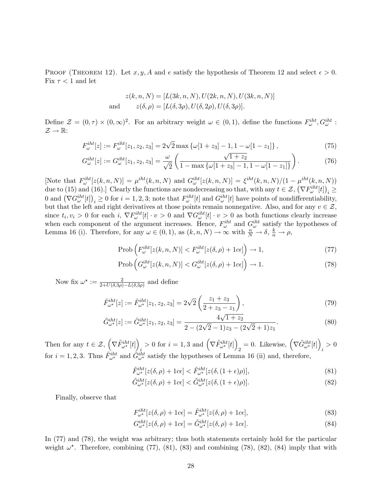PROOF (THEOREM 12). Let  $x, y, A$  and e satisfy the hypothesis of Theorem 12 and select  $\epsilon > 0$ . Fix  $\tau < 1$  and let

$$
z(k, n, N) = [L(3k, n, N), U(2k, n, N), U(3k, n, N)]
$$
  
and 
$$
z(\delta, \rho) = [L(\delta, 3\rho), U(\delta, 2\rho), U(\delta, 3\rho)].
$$

Define  $\mathcal{Z} = (0, \tau) \times (0, \infty)^2$ . For an arbitrary weight  $\omega \in (0, 1)$ , define the functions  $F_{\omega}^{iht}$ ,  $G_{\omega}^{iht}$ :  $\mathcal{Z} \to \mathbb{R}$ :

$$
F_{\omega}^{iht}[z] := F_{\omega}^{iht}[z_1, z_2, z_3] = 2\sqrt{2} \max \{ \omega[1+z_3] - 1, 1 - \omega[1-z_1] \},
$$
\n(75)

$$
G_{\omega}^{iht}[z] := G_{\omega}^{iht}[z_1, z_2, z_3] = \frac{\omega}{\sqrt{2}} \left( \frac{\sqrt{1+z_2}}{1 - \max\{\omega[1+z_3] - 1, 1 - \omega[1-z_1]\}} \right). \tag{76}
$$

[Note that  $F_{\omega}^{iht}[z(k,n,N)] = \mu^{iht}(k,n,N)$  and  $G_{\omega}^{iht}[z(k,n,N)] = \xi^{iht}(k,n,N)/(1-\mu^{iht}(k,n,N))$ due to (15) and (16).] Clearly the functions are nondecreasing so that, with any  $t \in \mathcal{Z}, (\nabla F_{\omega}^{i} [t])_i \geq$ 0 and  $(\nabla G_{\omega}^{iht}[t])_i \ge 0$  for  $i = 1, 2, 3$ ; note that  $F_{\omega}^{iht}[t]$  and  $G_{\omega}^{iht}[t]$  have points of nondifferentiability, but that the left and right derivatives at those points remain nonnegative. Also, and for any  $v \in \mathcal{Z}$ , since  $t_i, v_i > 0$  for each  $i, \nabla F_\omega^{i} [t] \cdot v > 0$  and  $\nabla G_\omega^{i} [t] \cdot v > 0$  as both functions clearly increase when each component of the argument increases. Hence,  $F_{\omega}^{iht}$  and  $G_{\omega}^{iht}$  satisfy the hypotheses of Lemma 16 (i). Therefore, for any  $\omega \in (0,1)$ , as  $(k,n,N) \to \infty$  with  $\frac{n}{N} \to \delta$ ,  $\frac{k}{n} \to \rho$ ,

$$
\text{Prob}\left(F_{\omega}^{\text{iht}}[z(k,n,N)] < F_{\omega}^{\text{iht}}[z(\delta,\rho)+1 c\epsilon]\right) \to 1,\tag{77}
$$

$$
\text{Prob}\left(G_{\omega}^{i\hbar t}[z(k,n,N)] < G_{\omega}^{i\hbar t}[z(\delta,\rho)+1c\epsilon]\right) \to 1. \tag{78}
$$

Now fix  $\omega^* := \frac{2}{2+U(\delta,3\rho)-L(\delta,3\rho)}$  and define

$$
\tilde{F}_{\omega^*}^{iht}[z] := \tilde{F}_{\omega^*}^{iht}[z_1, z_2, z_3] = 2\sqrt{2} \left( \frac{z_1 + z_3}{2 + z_3 - z_1} \right),\tag{79}
$$

$$
\tilde{G}^{iht}_{\omega^*}[z] := \tilde{G}^{iht}_{\omega^*}[z_1, z_2, z_3] = \frac{4\sqrt{1+z_2}}{2 - (2\sqrt{2}-1)z_3 - (2\sqrt{2}+1)z_1}.
$$
\n(80)

Then for any  $t \in \mathcal{Z}, \left( \nabla \tilde{F}_{\omega^{\star}}^{iht}[t] \right)$  $i > 0$  for  $i = 1, 3$  and  $(\nabla \tilde{F}_{\omega^{\star}}^{iht}[t])$  $_2 = 0$ . Likewise,  $(\nabla \tilde{G}_{\omega^{\star}}^{iht}[t])$  $i > 0$ for  $i = 1, 2, 3$ . Thus  $\tilde{F}^{iht}_{\omega^*}$  and  $\tilde{G}^{iht}_{\omega^*}$  satisfy the hypotheses of Lemma 16 (ii) and, therefore,

$$
\tilde{F}_{\omega^{\star}}^{iht}[z(\delta,\rho)+1c\epsilon] < \tilde{F}_{\omega^{\star}}^{iht}[z(\delta,(1+\epsilon)\rho)],\tag{81}
$$

$$
\tilde{G}^{iht}_{\omega^*}[z(\delta,\rho)+1c\epsilon] < \tilde{G}^{iht}_{\omega^*}[z(\delta,(1+\epsilon)\rho)].\tag{82}
$$

Finally, observe that

$$
F_{\omega^*}^{iht}[z(\delta,\rho) + 1c\epsilon] = \tilde{F}_{\omega^*}^{iht}[z(\delta,\rho) + 1c\epsilon],\tag{83}
$$

$$
G_{\omega^*}^{iht}[z(\delta,\rho)+1c\epsilon] = \tilde{G}_{\omega^*}^{iht}[z(\delta,\rho)+1c\epsilon].
$$
\n(84)

In (77) and (78), the weight was arbitrary; thus both statements certainly hold for the particular weight  $\omega^*$ . Therefore, combining (77), (81), (83) and combining (78), (82), (84) imply that with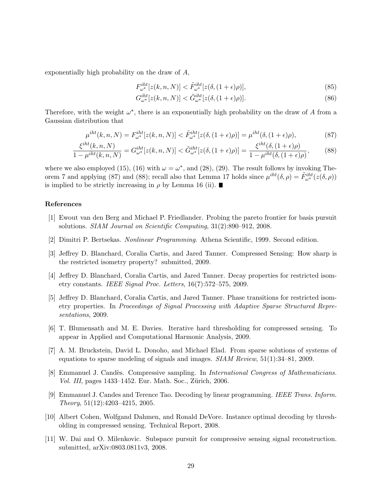exponentially high probability on the draw of A,

$$
F_{\omega^{\star}}^{iht}[z(k,n,N)] < \tilde{F}_{\omega^{\star}}^{iht}[z(\delta,(1+\epsilon)\rho)],\tag{85}
$$

$$
G_{\omega^{\star}}^{iht}[z(k,n,N)] < \tilde{G}_{\omega^{\star}}^{iht}[z(\delta,(1+\epsilon)\rho)].\tag{86}
$$

Therefore, with the weight  $\omega^*$ , there is an exponentially high probability on the draw of A from a Gaussian distribution that

$$
\mu^{iht}(k,n,N) = F_{\omega^*}^{iht}[z(k,n,N)] < \tilde{F}_{\omega^*}^{iht}[z(\delta,(1+\epsilon)\rho)] = \mu^{iht}(\delta,(1+\epsilon)\rho),\tag{87}
$$

$$
\frac{\xi^{iht}(k,n,N)}{1-\mu^{iht}(k,n,N)} = G_{\omega^*}^{iht}[z(k,n,N)] < \tilde{G}_{\omega^*}^{iht}[z(\delta,(1+\epsilon)\rho)] = \frac{\xi^{iht}(\delta,(1+\epsilon)\rho)}{1-\mu^{iht}(\delta,(1+\epsilon)\rho)},\tag{88}
$$

where we also employed (15), (16) with  $\omega = \omega^*$ , and (28), (29). The result follows by invoking Theorem 7 and applying (87) and (88); recall also that Lemma 17 holds since  $\mu^{iht}(\delta,\rho) = \tilde{F}^{iht}_{\omega^*}(z(\delta,\rho))$ is implied to be strictly increasing in  $\rho$  by Lemma 16 (ii).

## References

- [1] Ewout van den Berg and Michael P. Friedlander. Probing the pareto frontier for basis pursuit solutions. SIAM Journal on Scientific Computing, 31(2):890–912, 2008.
- [2] Dimitri P. Bertsekas. Nonlinear Programming. Athena Scientific, 1999. Second edition.
- [3] Jeffrey D. Blanchard, Coralia Cartis, and Jared Tanner. Compressed Sensing: How sharp is the restricted isometry property? submitted, 2009.
- [4] Jeffrey D. Blanchard, Coralia Cartis, and Jared Tanner. Decay properties for restricted isometry constants. IEEE Signal Proc. Letters, 16(7):572–575, 2009.
- [5] Jeffrey D. Blanchard, Coralia Cartis, and Jared Tanner. Phase transitions for restricted isometry properties. In Proceedings of Signal Processing with Adaptive Sparse Structured Representations, 2009.
- [6] T. Blumensath and M. E. Davies. Iterative hard thresholding for compressed sensing. To appear in Applied and Computational Harmonic Analysis, 2009.
- [7] A. M. Bruckstein, David L. Donoho, and Michael Elad. From sparse solutions of systems of equations to sparse modeling of signals and images. SIAM Review, 51(1):34–81, 2009.
- [8] Emmanuel J. Candès. Compressive sampling. In *International Congress of Mathematicians*. Vol. III, pages 1433–1452. Eur. Math. Soc., Zürich, 2006.
- [9] Emmanuel J. Candes and Terence Tao. Decoding by linear programming. IEEE Trans. Inform. Theory, 51(12):4203–4215, 2005.
- [10] Albert Cohen, Wolfgand Dahmen, and Ronald DeVore. Instance optimal decoding by thresholding in compressed sensing. Technical Report, 2008.
- [11] W. Dai and O. Milenkovic. Subspace pursuit for compressive sensing signal reconstruction. submitted, arXiv:0803.0811v3, 2008.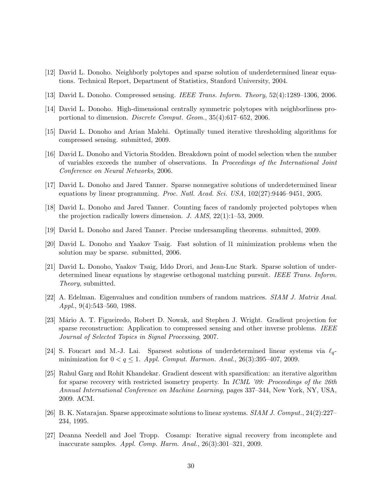- [12] David L. Donoho. Neighborly polytopes and sparse solution of underdetermined linear equations. Technical Report, Department of Statistics, Stanford University, 2004.
- [13] David L. Donoho. Compressed sensing. IEEE Trans. Inform. Theory, 52(4):1289–1306, 2006.
- [14] David L. Donoho. High-dimensional centrally symmetric polytopes with neighborliness proportional to dimension. Discrete Comput. Geom., 35(4):617–652, 2006.
- [15] David L. Donoho and Arian Malehi. Optimally tuned iterative thresholding algorithms for compressed sensing. submitted, 2009.
- [16] David L. Donoho and Victoria Stodden. Breakdown point of model selection when the number of variables exceeds the number of observations. In Proceedings of the International Joint Conference on Neural Networks, 2006.
- [17] David L. Donoho and Jared Tanner. Sparse nonnegative solutions of underdetermined linear equations by linear programming. Proc. Natl. Acad. Sci. USA,  $102(27):9446-9451$ , 2005.
- [18] David L. Donoho and Jared Tanner. Counting faces of randomly projected polytopes when the projection radically lowers dimension. J. AMS, 22(1):1–53, 2009.
- [19] David L. Donoho and Jared Tanner. Precise undersampling theorems. submitted, 2009.
- [20] David L. Donoho and Yaakov Tsaig. Fast solution of l1 minimization problems when the solution may be sparse. submitted, 2006.
- [21] David L. Donoho, Yaakov Tsaig, Iddo Drori, and Jean-Luc Stark. Sparse solution of underdetermined linear equations by stagewise orthogonal matching pursuit. IEEE Trans. Inform. Theory, submitted.
- [22] A. Edelman. Eigenvalues and condition numbers of random matrices. SIAM J. Matrix Anal. Appl.,  $9(4):543-560$ , 1988.
- [23] Mário A. T. Figueiredo, Robert D. Nowak, and Stephen J. Wright. Gradient projection for sparse reconstruction: Application to compressed sensing and other inverse problems. IEEE Journal of Selected Topics in Signal Processing, 2007.
- [24] S. Foucart and M.-J. Lai. Sparsest solutions of underdetermined linear systems via  $\ell_{q}$ minimization for  $0 < q \leq 1$ . Appl. Comput. Harmon. Anal., 26(3):395-407, 2009.
- [25] Rahul Garg and Rohit Khandekar. Gradient descent with sparsification: an iterative algorithm for sparse recovery with restricted isometry property. In *ICML '09: Proceedings of the 26th* Annual International Conference on Machine Learning, pages 337–344, New York, NY, USA, 2009. ACM.
- [26] B. K. Natarajan. Sparse approximate solutions to linear systems. SIAM J. Comput., 24(2):227– 234, 1995.
- [27] Deanna Needell and Joel Tropp. Cosamp: Iterative signal recovery from incomplete and inaccurate samples. Appl. Comp. Harm. Anal., 26(3):301–321, 2009.